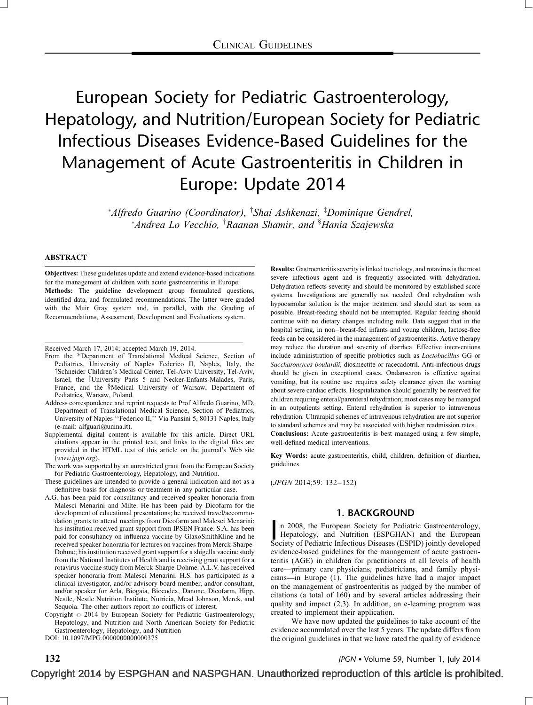# European Society for Pediatric Gastroenterology, Hepatology, and Nutrition/European Society for Pediatric Infectious Diseases Evidence-Based Guidelines for the Management of Acute Gastroenteritis in Children in Europe: Update 2014

\*Alfredo Guarino (Coordinator), <sup>†</sup>Shai Ashkenazi, <sup>‡</sup>Dominique Gendrel,  $^*$ Andrea Lo Vecchio,  $^{\dagger}$ Raanan Shamir, and  $^{\S}$ Hania Szajewska

#### ABSTRACT

Objectives: These guidelines update and extend evidence-based indications for the management of children with acute gastroenteritis in Europe. Methods: The guideline development group formulated questions, identified data, and formulated recommendations. The latter were graded with the Muir Gray system and, in parallel, with the Grading of Recommendations, Assessment, Development and Evaluations system.

Received March 17, 2014; accepted March 19, 2014.

- From the \*Department of Translational Medical Science, Section of Pediatrics, University of Naples Federico II, Naples, Italy, the <sup>†</sup>Schneider Children's Medical Center, Tel-Aviv University, Tel-Aviv, Israel, the ‡University Paris 5 and Necker-Enfants-Malades, Paris, France, and the §Medical University of Warsaw, Department of Pediatrics, Warsaw, Poland.
- Address correspondence and reprint requests to Prof Alfredo Guarino, MD, Department of Translational Medical Science, Section of Pediatrics, University of Naples ''Federico II,'' Via Pansini 5, 80131 Naples, Italy (e-mail: [alfguari@unina.it\)](mailto:alfguari@unina.it).
- Supplemental digital content is available for this article. Direct URL citations appear in the printed text, and links to the digital files are provided in the HTML text of this article on the journal's Web site ([www.jpgn.org](http://www.jpgn.org/)).
- The work was supported by an unrestricted grant from the European Society for Pediatric Gastroenterology, Hepatology, and Nutrition.
- These guidelines are intended to provide a general indication and not as a definitive basis for diagnosis or treatment in any particular case.
- A.G. has been paid for consultancy and received speaker honoraria from Malesci Menarini and Milte. He has been paid by Dicofarm for the development of educational presentations; he received travel/accommodation grants to attend meetings from Dicofarm and Malesci Menarini; his institution received grant support from IPSEN France. S.A. has been paid for consultancy on influenza vaccine by GlaxoSmithKline and he received speaker honoraria for lectures on vaccines from Merck-Sharpe-Dohme; his institution received grant support for a shigella vaccine study from the National Institutes of Health and is receiving grant support for a rotavirus vaccine study from Merck-Sharpe-Dohme. A.L.V. has received speaker honoraria from Malesci Menarini. H.S. has participated as a clinical investigator, and/or advisory board member, and/or consultant, and/or speaker for Arla, Biogaia, Biocodex, Danone, Dicofarm, Hipp, Nestle, Nestle Nutrition Institute, Nutricia, Mead Johnson, Merck, and Sequoia. The other authors report no conflicts of interest.
- Copyright  $\odot$  2014 by European Society for Pediatric Gastroenterology, Hepatology, and Nutrition and North American Society for Pediatric Gastroenterology, Hepatology, and Nutrition

DOI: [10.1097/MPG.0000000000000375](http://dx.doi.org/10.1097/MPG.0000000000000375)

Results: Gastroenteritis severity is linked to etiology, and rotavirus is the most severe infectious agent and is frequently associated with dehydration. Dehydration reflects severity and should be monitored by established score systems. Investigations are generally not needed. Oral rehydration with hypoosmolar solution is the major treatment and should start as soon as possible. Breast-feeding should not be interrupted. Regular feeding should continue with no dietary changes including milk. Data suggest that in the hospital setting, in non–breast-fed infants and young children, lactose-free feeds can be considered in the management of gastroenteritis. Active therapy may reduce the duration and severity of diarrhea. Effective interventions include administration of specific probiotics such as Lactobacillus GG or Saccharomyces boulardii, diosmectite or racecadotril. Anti-infectious drugs should be given in exceptional cases. Ondansetron is effective against vomiting, but its routine use requires safety clearance given the warning about severe cardiac effects. Hospitalization should generally be reserved for children requiring enteral/parenteral rehydration; most cases may be managed in an outpatients setting. Enteral rehydration is superior to intravenous rehydration. Ultrarapid schemes of intravenous rehydration are not superior to standard schemes and may be associated with higher readmission rates. Conclusions: Acute gastroenteritis is best managed using a few simple, well-defined medical interventions.

Key Words: acute gastroenteritis, child, children, definition of diarrhea, guidelines

(JPGN 2014;59: 132–152)

### 1. BACKGROUND

n 2008, the European Society for Pediatric Gastroenterology, Hepatology, and Nutrition (ESPGHAN) and the European Society of Pediatric Infectious Diseases (ESPID) jointly developed n 2008, the European Society for Pediatric Gastroenterology, Hepatology, and Nutrition (ESPGHAN) and the European evidence-based guidelines for the management of acute gastroenteritis (AGE) in children for practitioners at all levels of health care—primary care physicians, pediatricians, and family physicians—in Europe [\(1\).](#page-19-0) The guidelines have had a major impact on the management of gastroenteritis as judged by the number of citations (a total of 160) and by several articles addressing their quality and impact [\(2,3\)](#page-19-0). In addition, an e-learning program was created to implement their application.

We have now updated the guidelines to take account of the evidence accumulated over the last 5 years. The update differs from the original guidelines in that we have rated the quality of evidence

 $132$  JPGN  $\cdot$ JPGN • Volume 59, Number 1, July 2014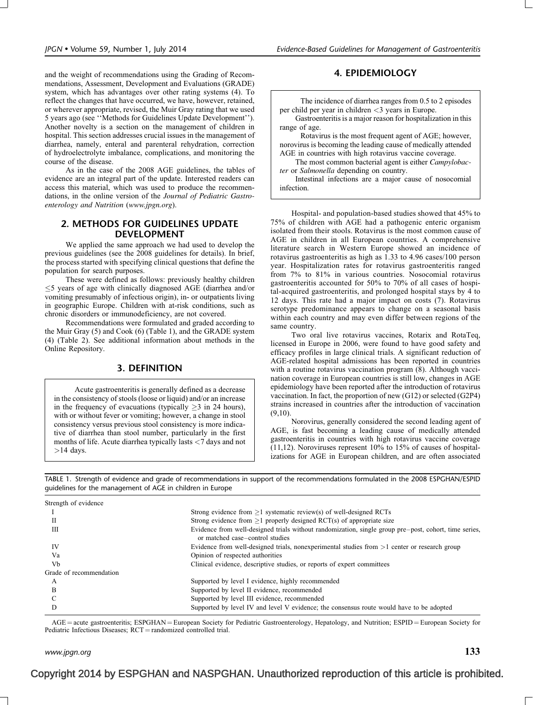and the weight of recommendations using the Grading of Recommendations, Assessment, Development and Evaluations (GRADE) system, which has advantages over other rating systems [\(4\)](#page-19-0). To reflect the changes that have occurred, we have, however, retained, or wherever appropriate, revised, the Muir Gray rating that we used 5 years ago (see ''Methods for Guidelines Update Development''). Another novelty is a section on the management of children in hospital. This section addresses crucial issues in the management of diarrhea, namely, enteral and parenteral rehydration, correction of hydroelectrolyte imbalance, complications, and monitoring the course of the disease.

As in the case of the 2008 AGE guidelines, the tables of evidence are an integral part of the update. Interested readers can access this material, which was used to produce the recommendations, in the online version of the Journal of Pediatric Gastroenterology and Nutrition ([www.jpgn.org](http://www.jpgn.org/)).

### 2. METHODS FOR GUIDELINES UPDATE DEVELOPMENT

We applied the same approach we had used to develop the previous guidelines (see the 2008 guidelines for details). In brief, the process started with specifying clinical questions that define the population for search purposes.

These were defined as follows: previously healthy children  $\leq$ 5 years of age with clinically diagnosed AGE (diarrhea and/or vomiting presumably of infectious origin), in- or outpatients living in geographic Europe. Children with at-risk conditions, such as chronic disorders or immunodeficiency, are not covered.

Recommendations were formulated and graded according to the Muir Gray [\(5\)](#page-19-0) and Cook [\(6\)](#page-19-0) (Table 1), and the GRADE system [\(4\)](#page-19-0) ([Table 2\)](#page-2-0). See additional information about methods in the Online Repository.

### 3. DEFINITION

Acute gastroenteritis is generally defined as a decrease in the consistency of stools (loose or liquid) and/or an increase in the frequency of evacuations (typically  $\geq$  3 in 24 hours), with or without fever or vomiting; however, a change in stool consistency versus previous stool consistency is more indicative of diarrhea than stool number, particularly in the first months of life. Acute diarrhea typically lasts <7 days and not  $>14$  days.

# 4. EPIDEMIOLOGY

The incidence of diarrhea ranges from 0.5 to 2 episodes per child per year in children  $\lt$ 3 years in Europe.

Gastroenteritis is a major reason for hospitalization in this range of age.

Rotavirus is the most frequent agent of AGE; however, norovirus is becoming the leading cause of medically attended AGE in countries with high rotavirus vaccine coverage.

The most common bacterial agent is either *Campylobac*ter or Salmonella depending on country.

Intestinal infections are a major cause of nosocomial infection.

Hospital- and population-based studies showed that 45% to 75% of children with AGE had a pathogenic enteric organism isolated from their stools. Rotavirus is the most common cause of AGE in children in all European countries. A comprehensive literature search in Western Europe showed an incidence of rotavirus gastroenteritis as high as 1.33 to 4.96 cases/100 person year. Hospitalization rates for rotavirus gastroenteritis ranged from 7% to 81% in various countries. Nosocomial rotavirus gastroenteritis accounted for 50% to 70% of all cases of hospital-acquired gastroenteritis, and prolonged hospital stays by 4 to 12 days. This rate had a major impact on costs [\(7\).](#page-19-0) Rotavirus serotype predominance appears to change on a seasonal basis within each country and may even differ between regions of the same country.

Two oral live rotavirus vaccines, Rotarix and RotaTeq, licensed in Europe in 2006, were found to have good safety and efficacy profiles in large clinical trials. A significant reduction of AGE-related hospital admissions has been reported in countries with a routine rotavirus vaccination program [\(8\).](#page-19-0) Although vaccination coverage in European countries is still low, changes in AGE epidemiology have been reported after the introduction of rotavirus vaccination. In fact, the proportion of new (G12) or selected (G2P4) strains increased in countries after the introduction of vaccination [\(9,10\)](#page-19-0).

Norovirus, generally considered the second leading agent of AGE, is fast becoming a leading cause of medically attended gastroenteritis in countries with high rotavirus vaccine coverage [\(11,12\).](#page-19-0) Noroviruses represent 10% to 15% of causes of hospitalizations for AGE in European children, and are often associated

TABLE 1. Strength of evidence and grade of recommendations in support of the recommendations formulated in the 2008 ESPGHAN/ESPID guidelines for the management of AGE in children in Europe

| Strength of evidence    |                                                                                                                                          |  |  |
|-------------------------|------------------------------------------------------------------------------------------------------------------------------------------|--|--|
|                         | Strong evidence from $>1$ systematic review(s) of well-designed RCTs                                                                     |  |  |
|                         | Strong evidence from $>1$ properly designed RCT(s) of appropriate size                                                                   |  |  |
| Ш                       | Evidence from well-designed trials without randomization, single group pre-post, cohort, time series,<br>or matched case-control studies |  |  |
| IV                      | Evidence from well-designed trials, nonexperimental studies from $>1$ center or research group                                           |  |  |
| Va                      | Opinion of respected authorities                                                                                                         |  |  |
| Vb                      | Clinical evidence, descriptive studies, or reports of expert committees                                                                  |  |  |
| Grade of recommendation |                                                                                                                                          |  |  |
| A                       | Supported by level I evidence, highly recommended                                                                                        |  |  |
| B                       | Supported by level II evidence, recommended                                                                                              |  |  |
|                         | Supported by level III evidence, recommended                                                                                             |  |  |
|                         | Supported by level IV and level V evidence; the consensus route would have to be adopted                                                 |  |  |
|                         |                                                                                                                                          |  |  |

AGE = acute gastroenteritis; ESPGHAN = European Society for Pediatric Gastroenterology, Hepatology, and Nutrition; ESPID = European Society for Pediatric Infectious Diseases; RCT = randomized controlled trial.

www.jpgn.org  $\qquad \qquad \qquad 133$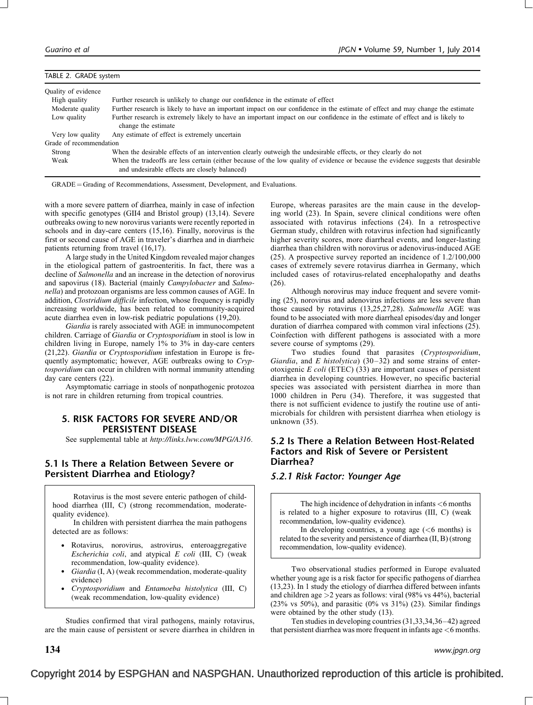| Further research is unlikely to change our confidence in the estimate of effect                                                                                                     |
|-------------------------------------------------------------------------------------------------------------------------------------------------------------------------------------|
| Further research is likely to have an important impact on our confidence in the estimate of effect and may change the estimate                                                      |
| Further research is extremely likely to have an important impact on our confidence in the estimate of effect and is likely to<br>change the estimate                                |
| Any estimate of effect is extremely uncertain                                                                                                                                       |
| Grade of recommendation                                                                                                                                                             |
| When the desirable effects of an intervention clearly outweigh the undesirable effects, or they clearly do not                                                                      |
| When the tradeoffs are less certain (either because of the low quality of evidence or because the evidence suggests that desirable<br>and undesirable effects are closely balanced) |
|                                                                                                                                                                                     |

#### <span id="page-2-0"></span>TABLE 2. GRADE system

GRADE = Grading of Recommendations, Assessment, Development, and Evaluations.

with a more severe pattern of diarrhea, mainly in case of infection with specific genotypes (GII4 and Bristol group) [\(13,14\)](#page-19-0). Severe outbreaks owing to new norovirus variants were recently reported in schools and in day-care centers [\(15,16\)](#page-19-0). Finally, norovirus is the first or second cause of AGE in traveler's diarrhea and in diarrheic patients returning from travel [\(16,17\)](#page-19-0).

A large study in the United Kingdom revealed major changes in the etiological pattern of gastroenteritis. In fact, there was a decline of Salmonella and an increase in the detection of norovirus and sapovirus [\(18\).](#page-19-0) Bacterial (mainly Campylobacter and Salmonella) and protozoan organisms are less common causes of AGE. In addition, Clostridium difficile infection, whose frequency is rapidly increasing worldwide, has been related to community-acquired acute diarrhea even in low-risk pediatric populations [\(19,20\)](#page-19-0).

Giardia is rarely associated with AGE in immunocompetent children. Carriage of Giardia or Cryptosporidium in stool is low in children living in Europe, namely 1% to 3% in day-care centers [\(21,22\)](#page-20-0). Giardia or Cryptosporidium infestation in Europe is frequently asymptomatic; however, AGE outbreaks owing to Cryptosporidium can occur in children with normal immunity attending day care centers [\(22\).](#page-20-0)

Asymptomatic carriage in stools of nonpathogenic protozoa is not rare in children returning from tropical countries.

### 5. RISK FACTORS FOR SEVERE AND/OR PERSISTENT DISEASE

See supplemental table at <http://links.lww.com/MPG/A316>.

# 5.1 Is There a Relation Between Severe or Persistent Diarrhea and Etiology?

Rotavirus is the most severe enteric pathogen of childhood diarrhea (III, C) (strong recommendation, moderatequality evidence).

In children with persistent diarrhea the main pathogens detected are as follows:

- Rotavirus, norovirus, astrovirus, enteroaggregative Escherichia coli, and atypical  $E$  coli (III, C) (weak recommendation, low-quality evidence).
- - Giardia (I, A) (weak recommendation, moderate-quality evidence)
- - Cryptosporidium and Entamoeba histolytica (III, C) (weak recommendation, low-quality evidence)

Studies confirmed that viral pathogens, mainly rotavirus, are the main cause of persistent or severe diarrhea in children in Europe, whereas parasites are the main cause in the developing world [\(23\)](#page-20-0). In Spain, severe clinical conditions were often associated with rotavirus infections [\(24\)](#page-20-0). In a retrospective German study, children with rotavirus infection had significantly higher severity scores, more diarrheal events, and longer-lasting diarrhea than children with norovirus or adenovirus-induced AGE [\(25\).](#page-20-0) A prospective survey reported an incidence of 1.2/100,000 cases of extremely severe rotavirus diarrhea in Germany, which included cases of rotavirus-related encephalopathy and deaths [\(26\).](#page-20-0)

Although norovirus may induce frequent and severe vomiting [\(25\),](#page-20-0) norovirus and adenovirus infections are less severe than those caused by rotavirus [\(13,25,27,28\)](#page-19-0). Salmonella AGE was found to be associated with more diarrheal episodes/day and longer duration of diarrhea compared with common viral infections [\(25\)](#page-20-0). Coinfection with different pathogens is associated with a more severe course of symptoms [\(29\)](#page-20-0).

Two studies found that parasites (Cryptosporidium, Giardia, and E histolytica)  $(30-32)$  and some strains of enterotoxigenic  $E \text{ coli}$  (ETEC) [\(33\)](#page-20-0) are important causes of persistent diarrhea in developing countries. However, no specific bacterial species was associated with persistent diarrhea in more than 1000 children in Peru [\(34\)](#page-20-0). Therefore, it was suggested that there is not sufficient evidence to justify the routine use of antimicrobials for children with persistent diarrhea when etiology is unknown [\(35\)](#page-20-0).

### 5.2 Is There a Relation Between Host-Related Factors and Risk of Severe or Persistent Diarrhea?

# 5.2.1 Risk Factor: Younger Age

The high incidence of dehydration in infants  $<$  6 months is related to a higher exposure to rotavirus (III, C) (weak recommendation, low-quality evidence).

In developing countries, a young age  $(< 6$  months) is related to the severity and persistence of diarrhea (II, B) (strong recommendation, low-quality evidence).

Two observational studies performed in Europe evaluated whether young age is a risk factor for specific pathogens of diarrhea [\(13,23\).](#page-19-0) In 1 study the etiology of diarrhea differed between infants and children age >2 years as follows: viral (98% vs 44%), bacterial (23% vs 50%), and parasitic (0% vs 31%) [\(23\).](#page-20-0) Similar findings were obtained by the other study [\(13\).](#page-19-0)

Ten studies in developing countries [\(31,33,34,36–42\)](#page-20-0) agreed that persistent diarrhea was more frequent in infants age  $<6$  months.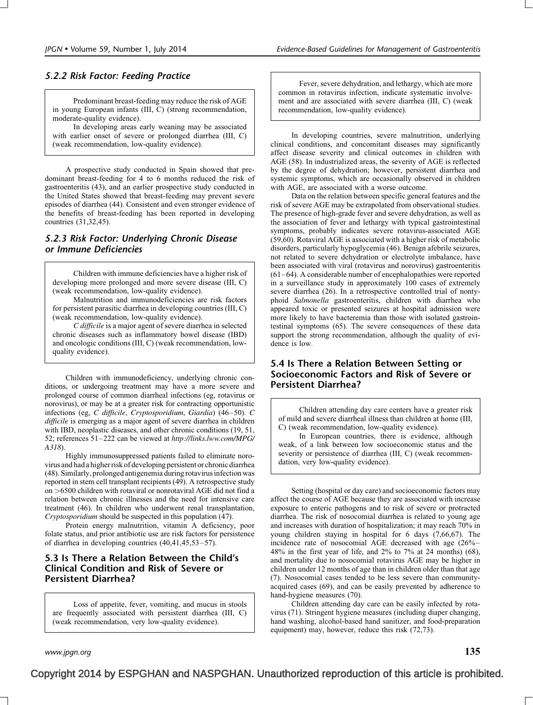# 5.2.2 Risk Factor: Feeding Practice

Predominant breast-feeding may reduce the risk of AGE in young European infants (III, C) (strong recommendation, moderate-quality evidence).

In developing areas early weaning may be associated with earlier onset of severe or prolonged diarrhea (III, C) (weak recommendation, low-quality evidence).

A prospective study conducted in Spain showed that predominant breast-feeding for 4 to 6 months reduced the risk of gastroenteritis [\(43\),](#page-20-0) and an earlier prospective study conducted in the United States showed that breast-feeding may prevent severe episodes of diarrhea [\(44\)](#page-20-0). Consistent and even stronger evidence of the benefits of breast-feeding has been reported in developing countries [\(31,32,45\)](#page-20-0).

# 5.2.3 Risk Factor: Underlying Chronic Disease or Immune Deficiencies

Children with immune deficiencies have a higher risk of developing more prolonged and more severe disease (III, C) (weak recommendation, low-quality evidence).

Malnutrition and immunodeficiencies are risk factors for persistent parasitic diarrhea in developing countries (III, C) (weak recommendation, low-quality evidence).

C difficile is a major agent of severe diarrhea in selected chronic diseases such as inflammatory bowel disease (IBD) and oncologic conditions (III, C) (weak recommendation, lowquality evidence).

Children with immunodeficiency, underlying chronic conditions, or undergoing treatment may have a more severe and prolonged course of common diarrheal infections (eg, rotavirus or norovirus), or may be at a greater risk for contracting opportunistic infections (eg, C difficile, Cryptosporidium, Giardia) [\(46–50\)](#page-20-0). C difficile is emerging as a major agent of severe diarrhea in children with IBD, neoplastic diseases, and other chronic conditions (19, 51, 52; references 51–222 can be viewed at [http://links.lww.com/MPG/](http://links.lww.com/MPG/A318) [A318](http://links.lww.com/MPG/A318)).

Highly immunosuppressed patients failed to eliminate norovirus and had a higherrisk of developing persistent or chronic diarrhea [\(48\).](#page-20-0) Similarly, prolonged antigenemia during rotavirus infection was reported in stem cell transplant recipients [\(49\).](#page-20-0) A retrospective study on >6500 children with rotaviral or nonrotaviral AGE did not find a relation between chronic illnesses and the need for intensive care treatment [\(46\).](#page-20-0) In children who underwent renal transplantation, Cryptosporidium should be suspected in this population [\(47\).](#page-20-0)

Protein energy malnutrition, vitamin A deficiency, poor folate status, and prior antibiotic use are risk factors for persistence of diarrhea in developing countries [\(40,41,45,53–57\).](#page-20-0)

# 5.3 Is There a Relation Between the Child's Clinical Condition and Risk of Severe or Persistent Diarrhea?

Loss of appetite, fever, vomiting, and mucus in stools are frequently associated with persistent diarrhea (III, C) (weak recommendation, very low-quality evidence).

Fever, severe dehydration, and lethargy, which are more common in rotavirus infection, indicate systematic involvement and are associated with severe diarrhea (III, C) (weak recommendation, low-quality evidence).

In developing countries, severe malnutrition, underlying clinical conditions, and concomitant diseases may significantly affect disease severity and clinical outcomes in children with AGE (58). In industrialized areas, the severity of AGE is reflected by the degree of dehydration; however, persistent diarrhea and systemic symptoms, which are occasionally observed in children with AGE, are associated with a worse outcome.

Data on the relation between specific general features and the risk of severe AGE may be extrapolated from observational studies. The presence of high-grade fever and severe dehydration, as well as the association of fever and lethargy with typical gastrointestinal symptoms, probably indicates severe rotavirus-associated AGE (59,60). Rotaviral AGE is associated with a higher risk of metabolic disorders, particularly hypoglycemia [\(46\).](#page-20-0) Benign afebrile seizures, not related to severe dehydration or electrolyte imbalance, have been associated with viral (rotavirus and norovirus) gastroenteritis (61–64). A considerable number of encephalopathies were reported in a surveillance study in approximately 100 cases of extremely severe diarrhea [\(26\).](#page-20-0) In a retrospective controlled trial of nontyphoid Salmonella gastroenteritis, children with diarrhea who appeared toxic or presented seizures at hospital admission were more likely to have bacteremia than those with isolated gastrointestinal symptoms (65). The severe consequences of these data support the strong recommendation, although the quality of evidence is low.

# 5.4 Is There a Relation Between Setting or Socioeconomic Factors and Risk of Severe or Persistent Diarrhea?

Children attending day care centers have a greater risk of mild and severe diarrheal illness than children at home (III, C) (weak recommendation, low-quality evidence).

In European countries, there is evidence, although weak, of a link between low socioeconomic status and the severity or persistence of diarrhea (III, C) (weak recommendation, very low-quality evidence).

Setting (hospital or day care) and socioeconomic factors may affect the course of AGE because they are associated with increase exposure to enteric pathogens and to risk of severe or protracted diarrhea. The risk of nosocomial diarrhea is related to young age and increases with duration of hospitalization; it may reach 70% in young children staying in hospital for 6 days [\(7,66,67\).](#page-19-0) The incidence rate of nosocomial AGE decreased with age (26%– 48% in the first year of life, and 2% to 7% at 24 months) (68), and mortality due to nosocomial rotavirus AGE may be higher in children under 12 months of age than in children older than that age [\(7\).](#page-19-0) Nosocomial cases tended to be less severe than communityacquired cases (69), and can be easily prevented by adherence to hand-hygiene measures (70).

Children attending day care can be easily infected by rotavirus (71). Stringent hygiene measures (including diaper changing, hand washing, alcohol-based hand sanitizer, and food-preparation equipment) may, however, reduce this risk (72,73).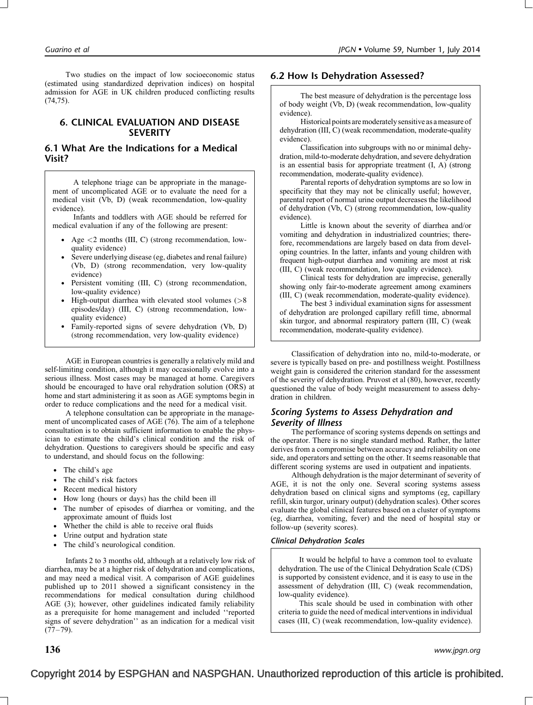Two studies on the impact of low socioeconomic status (estimated using standardized deprivation indices) on hospital admission for AGE in UK children produced conflicting results (74,75).

### 6. CLINICAL EVALUATION AND DISEASE **SEVERITY**

### 6.1 What Are the Indications for a Medical Visit?

A telephone triage can be appropriate in the management of uncomplicated AGE or to evaluate the need for a medical visit (Vb, D) (weak recommendation, low-quality evidence).

Infants and toddlers with AGE should be referred for medical evaluation if any of the following are present:

- Age <2 months (III, C) (strong recommendation, lowquality evidence)
- - Severe underlying disease (eg, diabetes and renal failure) (Vb, D) (strong recommendation, very low-quality evidence)
- Persistent vomiting (III, C) (strong recommendation, low-quality evidence)
- High-output diarrhea with elevated stool volumes (>8 episodes/day) (III, C) (strong recommendation, lowquality evidence)
- - Family-reported signs of severe dehydration (Vb, D) (strong recommendation, very low-quality evidence)

AGE in European countries is generally a relatively mild and self-limiting condition, although it may occasionally evolve into a serious illness. Most cases may be managed at home. Caregivers should be encouraged to have oral rehydration solution (ORS) at home and start administering it as soon as AGE symptoms begin in order to reduce complications and the need for a medical visit.

A telephone consultation can be appropriate in the management of uncomplicated cases of AGE (76). The aim of a telephone consultation is to obtain sufficient information to enable the physician to estimate the child's clinical condition and the risk of dehydration. Questions to caregivers should be specific and easy to understand, and should focus on the following:

- The child's age
- -The child's risk factors
- -Recent medical history
- -How long (hours or days) has the child been ill
- - The number of episodes of diarrhea or vomiting, and the approximate amount of fluids lost
- -Whether the child is able to receive oral fluids
- -Urine output and hydration state
- -The child's neurological condition.

Infants 2 to 3 months old, although at a relatively low risk of diarrhea, may be at a higher risk of dehydration and complications, and may need a medical visit. A comparison of AGE guidelines published up to 2011 showed a significant consistency in the recommendations for medical consultation during childhood AGE [\(3\)](#page-19-0); however, other guidelines indicated family reliability as a prerequisite for home management and included ''reported signs of severe dehydration'' as an indication for a medical visit  $(77-79)$ .

# 6.2 How Is Dehydration Assessed?

The best measure of dehydration is the percentage loss of body weight (Vb, D) (weak recommendation, low-quality evidence).

Historical pointsare moderatelysensitive asa measureof dehydration (III, C) (weak recommendation, moderate-quality evidence).

Classification into subgroups with no or minimal dehydration, mild-to-moderate dehydration, and severe dehydration is an essential basis for appropriate treatment (I, A) (strong recommendation, moderate-quality evidence).

Parental reports of dehydration symptoms are so low in specificity that they may not be clinically useful; however, parental report of normal urine output decreases the likelihood of dehydration (Vb, C) (strong recommendation, low-quality evidence).

Little is known about the severity of diarrhea and/or vomiting and dehydration in industrialized countries; therefore, recommendations are largely based on data from developing countries. In the latter, infants and young children with frequent high-output diarrhea and vomiting are most at risk (III, C) (weak recommendation, low quality evidence).

Clinical tests for dehydration are imprecise, generally showing only fair-to-moderate agreement among examiners (III, C) (weak recommendation, moderate-quality evidence).

The best 3 individual examination signs for assessment of dehydration are prolonged capillary refill time, abnormal skin turgor, and abnormal respiratory pattern (III, C) (weak recommendation, moderate-quality evidence).

Classification of dehydration into no, mild-to-moderate, or severe is typically based on pre- and postillness weight. Postillness weight gain is considered the criterion standard for the assessment of the severity of dehydration. Pruvost et al (80), however, recently questioned the value of body weight measurement to assess dehydration in children.

### Scoring Systems to Assess Dehydration and Severity of Illness

The performance of scoring systems depends on settings and the operator. There is no single standard method. Rather, the latter derives from a compromise between accuracy and reliability on one side, and operators and setting on the other. It seems reasonable that different scoring systems are used in outpatient and inpatients.

Although dehydration is the major determinant of severity of AGE, it is not the only one. Several scoring systems assess dehydration based on clinical signs and symptoms (eg, capillary refill, skin turgor, urinary output) (dehydration scales). Other scores evaluate the global clinical features based on a cluster of symptoms (eg, diarrhea, vomiting, fever) and the need of hospital stay or follow-up (severity scores).

#### Clinical Dehydration Scales

It would be helpful to have a common tool to evaluate dehydration. The use of the Clinical Dehydration Scale (CDS) is supported by consistent evidence, and it is easy to use in the assessment of dehydration (III, C) (weak recommendation, low-quality evidence).

This scale should be used in combination with other criteria to guide the need of medical interventions in individual cases (III, C) (weak recommendation, low-quality evidence).

 $136 \,$  www.jpgn.org  $\,$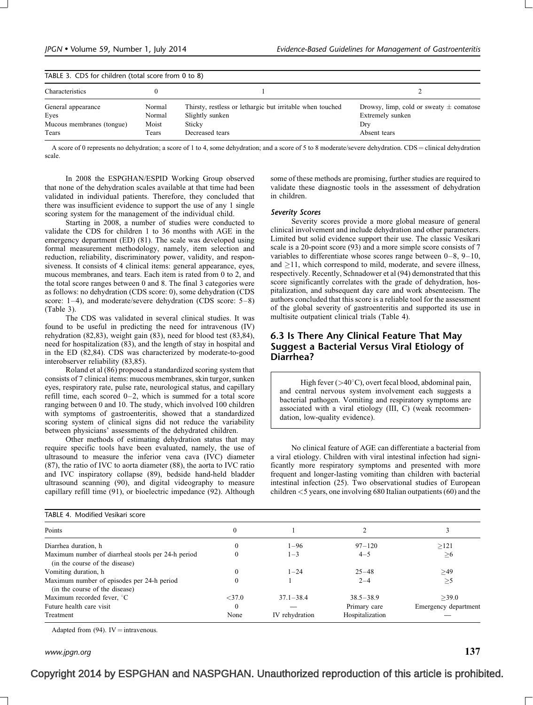| TABLE 3. CDS for children (total score from 0 to 8) |        |                                                           |                                             |  |
|-----------------------------------------------------|--------|-----------------------------------------------------------|---------------------------------------------|--|
| Characteristics                                     |        |                                                           |                                             |  |
| General appearance                                  | Normal | Thirsty, restless or lethargic but irritable when touched | Drowsy, limp, cold or sweaty $\pm$ comatose |  |
| Eyes                                                | Normal | Slightly sunken                                           | Extremely sunken                            |  |
| Mucous membranes (tongue)                           | Moist  | Sticky                                                    | Dry                                         |  |
| Tears                                               | Tears  | Decreased tears                                           | Absent tears                                |  |

A score of 0 represents no dehydration; a score of 1 to 4, some dehydration; and a score of 5 to 8 moderate/severe dehydration. CDS = clinical dehydration scale.

In 2008 the ESPGHAN/ESPID Working Group observed that none of the dehydration scales available at that time had been validated in individual patients. Therefore, they concluded that there was insufficient evidence to support the use of any 1 single scoring system for the management of the individual child.

Starting in 2008, a number of studies were conducted to validate the CDS for children 1 to 36 months with AGE in the emergency department (ED) (81). The scale was developed using formal measurement methodology, namely, item selection and reduction, reliability, discriminatory power, validity, and responsiveness. It consists of 4 clinical items: general appearance, eyes, mucous membranes, and tears. Each item is rated from 0 to 2, and the total score ranges between 0 and 8. The final 3 categories were as follows: no dehydration (CDS score: 0), some dehydration (CDS score: 1–4), and moderate/severe dehydration (CDS score: 5–8) (Table 3).

The CDS was validated in several clinical studies. It was found to be useful in predicting the need for intravenous (IV) rehydration (82,83), weight gain (83), need for blood test (83,84), need for hospitalization (83), and the length of stay in hospital and in the ED (82,84). CDS was characterized by moderate-to-good interobserver reliability (83,85).

Roland et al (86) proposed a standardized scoring system that consists of 7 clinical items: mucous membranes, skin turgor, sunken eyes, respiratory rate, pulse rate, neurological status, and capillary refill time, each scored 0–2, which is summed for a total score ranging between 0 and 10. The study, which involved 100 children with symptoms of gastroenteritis, showed that a standardized scoring system of clinical signs did not reduce the variability between physicians' assessments of the dehydrated children.

Other methods of estimating dehydration status that may require specific tools have been evaluated, namely, the use of ultrasound to measure the inferior vena cava (IVC) diameter (87), the ratio of IVC to aorta diameter (88), the aorta to IVC ratio and IVC inspiratory collapse (89), bedside hand-held bladder ultrasound scanning (90), and digital videography to measure capillary refill time (91), or bioelectric impedance (92). Although some of these methods are promising, further studies are required to validate these diagnostic tools in the assessment of dehydration in children.

#### Severity Scores

Severity scores provide a more global measure of general clinical involvement and include dehydration and other parameters. Limited but solid evidence support their use. The classic Vesikari scale is a 20-point score (93) and a more simple score consists of 7 variables to differentiate whose scores range between 0–8, 9–10, and  $\geq$ 11, which correspond to mild, moderate, and severe illness, respectively. Recently, Schnadower et al (94) demonstrated that this score significantly correlates with the grade of dehydration, hospitalization, and subsequent day care and work absenteeism. The authors concluded that this score is a reliable tool for the assessment of the global severity of gastroenteritis and supported its use in multisite outpatient clinical trials (Table 4).

# 6.3 Is There Any Clinical Feature That May Suggest a Bacterial Versus Viral Etiology of Diarrhea?

High fever  $(>40^{\circ}C)$ , overt fecal blood, abdominal pain, and central nervous system involvement each suggests a bacterial pathogen. Vomiting and respiratory symptoms are associated with a viral etiology (III, C) (weak recommendation, low-quality evidence).

No clinical feature of AGE can differentiate a bacterial from a viral etiology. Children with viral intestinal infection had significantly more respiratory symptoms and presented with more frequent and longer-lasting vomiting than children with bacterial intestinal infection [\(25\)](#page-20-0). Two observational studies of European children  $\lt$  5 years, one involving 680 Italian outpatients (60) and the

| TABLE 4. Modified Vesikari score                                                     |          |                |                 |                      |
|--------------------------------------------------------------------------------------|----------|----------------|-----------------|----------------------|
| Points                                                                               | $\theta$ |                |                 |                      |
| Diarrhea duration, h                                                                 |          | $1 - 96$       | $97 - 120$      | >121                 |
| Maximum number of diarrheal stools per 24-h period<br>(in the course of the disease) |          | $1 - 3$        | $4 - 5$         | $\geq 6$             |
| Vomiting duration, h                                                                 |          | $1 - 24$       | $25 - 48$       | >49                  |
| Maximum number of episodes per 24-h period<br>(in the course of the disease)         |          |                | $2 - 4$         | $\geq 5$             |
| Maximum recorded fever, °C                                                           | <37.0    | $37.1 - 38.4$  | $38.5 - 38.9$   | >39.0                |
| Future health care visit                                                             | $\Omega$ |                | Primary care    | Emergency department |
| Treatment                                                                            | None     | IV rehydration | Hospitalization |                      |

Adapted from  $(94)$ . IV = intravenous.

www.jpgn.org 137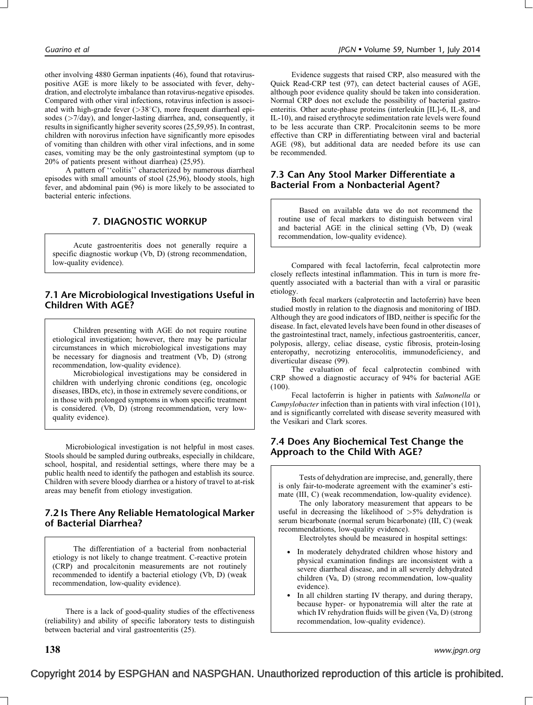other involving 4880 German inpatients [\(46\)](#page-20-0), found that rotaviruspositive AGE is more likely to be associated with fever, dehydration, and electrolyte imbalance than rotavirus-negative episodes. Compared with other viral infections, rotavirus infection is associated with high-grade fever  $(>\frac{38}{\circ}C)$ , more frequent diarrheal episodes ( $>7$ /day), and longer-lasting diarrhea, and, consequently, it results in significantly higher severity scores [\(25,59,95\)](#page-20-0). In contrast, children with norovirus infection have significantly more episodes of vomiting than children with other viral infections, and in some cases, vomiting may be the only gastrointestinal symptom (up to 20% of patients present without diarrhea) [\(25,95\)](#page-20-0).

A pattern of ''colitis'' characterized by numerous diarrheal episodes with small amounts of stool [\(25,96\),](#page-20-0) bloody stools, high fever, and abdominal pain (96) is more likely to be associated to bacterial enteric infections.

# 7. DIAGNOSTIC WORKUP

Acute gastroenteritis does not generally require a specific diagnostic workup (Vb, D) (strong recommendation, low-quality evidence).

# 7.1 Are Microbiological Investigations Useful in Children With AGE?

Children presenting with AGE do not require routine etiological investigation; however, there may be particular circumstances in which microbiological investigations may be necessary for diagnosis and treatment (Vb, D) (strong recommendation, low-quality evidence).

Microbiological investigations may be considered in children with underlying chronic conditions (eg, oncologic diseases, IBDs, etc), in those in extremely severe conditions, or in those with prolonged symptoms in whom specific treatment is considered. (Vb, D) (strong recommendation, very lowquality evidence).

Microbiological investigation is not helpful in most cases. Stools should be sampled during outbreaks, especially in childcare, school, hospital, and residential settings, where there may be a public health need to identify the pathogen and establish its source. Children with severe bloody diarrhea or a history of travel to at-risk areas may benefit from etiology investigation.

# 7.2 Is There Any Reliable Hematological Marker of Bacterial Diarrhea?

The differentiation of a bacterial from nonbacterial etiology is not likely to change treatment. C-reactive protein (CRP) and procalcitonin measurements are not routinely recommended to identify a bacterial etiology (Vb, D) (weak recommendation, low-quality evidence).

There is a lack of good-quality studies of the effectiveness (reliability) and ability of specific laboratory tests to distinguish between bacterial and viral gastroenteritis [\(25\).](#page-20-0)

Evidence suggests that raised CRP, also measured with the Quick Read-CRP test (97), can detect bacterial causes of AGE, although poor evidence quality should be taken into consideration. Normal CRP does not exclude the possibility of bacterial gastroenteritis. Other acute-phase proteins (interleukin [IL]-6, IL-8, and IL-10), and raised erythrocyte sedimentation rate levels were found to be less accurate than CRP. Procalcitonin seems to be more effective than CRP in differentiating between viral and bacterial AGE (98), but additional data are needed before its use can be recommended.

# 7.3 Can Any Stool Marker Differentiate a Bacterial From a Nonbacterial Agent?

Based on available data we do not recommend the routine use of fecal markers to distinguish between viral and bacterial AGE in the clinical setting (Vb, D) (weak recommendation, low-quality evidence).

Compared with fecal lactoferrin, fecal calprotectin more closely reflects intestinal inflammation. This in turn is more frequently associated with a bacterial than with a viral or parasitic etiology.

Both fecal markers (calprotectin and lactoferrin) have been studied mostly in relation to the diagnosis and monitoring of IBD. Although they are good indicators of IBD, neither is specific for the disease. In fact, elevated levels have been found in other diseases of the gastrointestinal tract, namely, infectious gastroenteritis, cancer, polyposis, allergy, celiac disease, cystic fibrosis, protein-losing enteropathy, necrotizing enterocolitis, immunodeficiency, and diverticular disease (99).

The evaluation of fecal calprotectin combined with CRP showed a diagnostic accuracy of 94% for bacterial AGE (100).

Fecal lactoferrin is higher in patients with Salmonella or Campylobacter infection than in patients with viral infection (101), and is significantly correlated with disease severity measured with the Vesikari and Clark scores.

# 7.4 Does Any Biochemical Test Change the Approach to the Child With AGE?

Tests of dehydration are imprecise, and, generally, there is only fair-to-moderate agreement with the examiner's estimate (III, C) (weak recommendation, low-quality evidence).

The only laboratory measurement that appears to be useful in decreasing the likelihood of  $>5\%$  dehydration is serum bicarbonate (normal serum bicarbonate) (III, C) (weak recommendations, low-quality evidence).

Electrolytes should be measured in hospital settings:

- - In moderately dehydrated children whose history and physical examination findings are inconsistent with a severe diarrheal disease, and in all severely dehydrated children (Va, D) (strong recommendation, low-quality evidence).
- In all children starting IV therapy, and during therapy, because hyper- or hyponatremia will alter the rate at which IV rehydration fluids will be given (Va, D) (strong recommendation, low-quality evidence).

 $138$  www.jpgn.org www.jpgn.org www.jpgn.org www.jpgn.org www.jpgn.org www.jpgn.org www.jpgn.org  $\sim$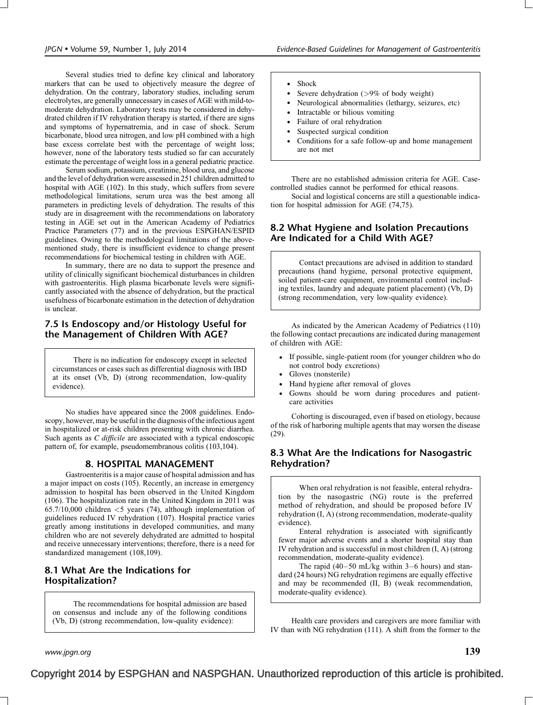Several studies tried to define key clinical and laboratory markers that can be used to objectively measure the degree of dehydration. On the contrary, laboratory studies, including serum electrolytes, are generally unnecessary in cases of AGE with mild-tomoderate dehydration. Laboratory tests may be considered in dehydrated children if IV rehydration therapy is started, if there are signs and symptoms of hypernatremia, and in case of shock. Serum bicarbonate, blood urea nitrogen, and low pH combined with a high base excess correlate best with the percentage of weight loss; however, none of the laboratory tests studied so far can accurately estimate the percentage of weight loss in a general pediatric practice.

Serum sodium, potassium, creatinine, blood urea, and glucose and the level of dehydration were assessed in 251 children admitted to hospital with AGE (102). In this study, which suffers from severe methodological limitations, serum urea was the best among all parameters in predicting levels of dehydration. The results of this study are in disagreement with the recommendations on laboratory testing in AGE set out in the American Academy of Pediatrics Practice Parameters (77) and in the previous ESPGHAN/ESPID guidelines. Owing to the methodological limitations of the abovementioned study, there is insufficient evidence to change present recommendations for biochemical testing in children with AGE.

In summary, there are no data to support the presence and utility of clinically significant biochemical disturbances in children with gastroenteritis. High plasma bicarbonate levels were significantly associated with the absence of dehydration, but the practical usefulness of bicarbonate estimation in the detection of dehydration is unclear.

# 7.5 Is Endoscopy and/or Histology Useful for the Management of Children With AGE?

There is no indication for endoscopy except in selected circumstances or cases such as differential diagnosis with IBD at its onset (Vb, D) (strong recommendation, low-quality evidence).

No studies have appeared since the 2008 guidelines. Endoscopy, however, may be useful in the diagnosis of the infectious agent in hospitalized or at-risk children presenting with chronic diarrhea. Such agents as C difficile are associated with a typical endoscopic pattern of, for example, pseudomembranous colitis (103,104).

### 8. HOSPITAL MANAGEMENT

Gastroenteritis is a major cause of hospital admission and has a major impact on costs (105). Recently, an increase in emergency admission to hospital has been observed in the United Kingdom (106). The hospitalization rate in the United Kingdom in 2011 was 65.7/10,000 children  $\lt$ 5 years (74), although implementation of guidelines reduced IV rehydration (107). Hospital practice varies greatly among institutions in developed communities, and many children who are not severely dehydrated are admitted to hospital and receive unnecessary interventions; therefore, there is a need for standardized management (108,109).

# 8.1 What Are the Indications for Hospitalization?

The recommendations for hospital admission are based on consensus and include any of the following conditions (Vb, D) (strong recommendation, low-quality evidence):

- -Shock
- -Severe dehydration (>9% of body weight)
- -Neurological abnormalities (lethargy, seizures, etc)
- -Intractable or bilious vomiting
- -Failure of oral rehydration
- -Suspected surgical condition
- - Conditions for a safe follow-up and home management are not met

There are no established admission criteria for AGE. Casecontrolled studies cannot be performed for ethical reasons.

Social and logistical concerns are still a questionable indication for hospital admission for AGE (74,75).

### 8.2 What Hygiene and Isolation Precautions Are Indicated for a Child With AGE?

Contact precautions are advised in addition to standard precautions (hand hygiene, personal protective equipment, soiled patient-care equipment, environmental control including textiles, laundry and adequate patient placement) (Vb, D) (strong recommendation, very low-quality evidence).

As indicated by the American Academy of Pediatrics (110) the following contact precautions are indicated during management of children with AGE:

- - If possible, single-patient room (for younger children who do not control body excretions)
- -Gloves (nonsterile)
- -Hand hygiene after removal of gloves
- - Gowns should be worn during procedures and patientcare activities

Cohorting is discouraged, even if based on etiology, because of the risk of harboring multiple agents that may worsen the disease [\(29\)](#page-20-0).

### 8.3 What Are the Indications for Nasogastric Rehydration?

When oral rehydration is not feasible, enteral rehydration by the nasogastric (NG) route is the preferred method of rehydration, and should be proposed before IV rehydration (I, A) (strong recommendation, moderate-quality evidence).

Enteral rehydration is associated with significantly fewer major adverse events and a shorter hospital stay than IV rehydration and is successful in most children (I, A) (strong recommendation, moderate-quality evidence).

The rapid  $(40-50 \text{ mL/kg}$  within  $3-6$  hours) and standard (24 hours) NG rehydration regimens are equally effective and may be recommended (II, B) (weak recommendation, moderate-quality evidence).

Health care providers and caregivers are more familiar with IV than with NG rehydration (111). A shift from the former to the

www.jpgn.org  $139$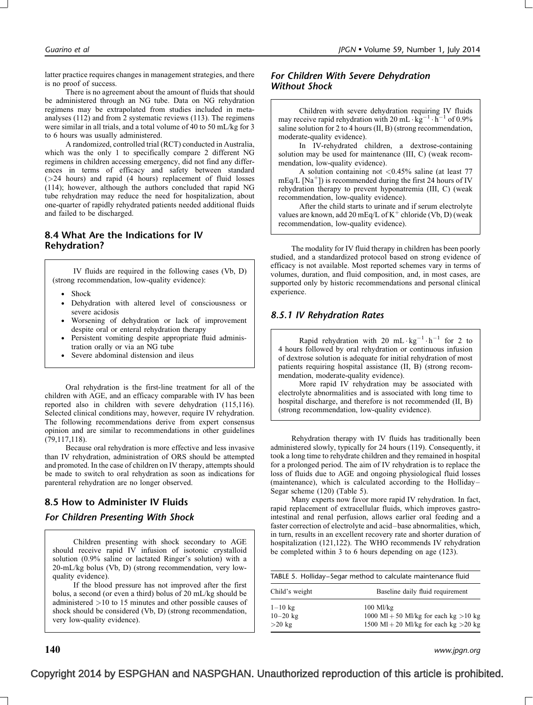<span id="page-8-0"></span>latter practice requires changes in management strategies, and there is no proof of success.

There is no agreement about the amount of fluids that should be administered through an NG tube. Data on NG rehydration regimens may be extrapolated from studies included in metaanalyses (112) and from 2 systematic reviews (113). The regimens were similar in all trials, and a total volume of 40 to 50 mL/kg for 3 to 6 hours was usually administered.

A randomized, controlled trial (RCT) conducted in Australia, which was the only 1 to specifically compare 2 different NG regimens in children accessing emergency, did not find any differences in terms of efficacy and safety between standard (>24 hours) and rapid (4 hours) replacement of fluid losses (114); however, although the authors concluded that rapid NG tube rehydration may reduce the need for hospitalization, about one-quarter of rapidly rehydrated patients needed additional fluids and failed to be discharged.

# 8.4 What Are the Indications for IV Rehydration?

IV fluids are required in the following cases (Vb, D) (strong recommendation, low-quality evidence):

- -Shock
- - Dehydration with altered level of consciousness or severe acidosis
- - Worsening of dehydration or lack of improvement despite oral or enteral rehydration therapy
- - Persistent vomiting despite appropriate fluid administration orally or via an NG tube
- -Severe abdominal distension and ileus

Oral rehydration is the first-line treatment for all of the children with AGE, and an efficacy comparable with IV has been reported also in children with severe dehydration (115,116). Selected clinical conditions may, however, require IV rehydration. The following recommendations derive from expert consensus opinion and are similar to recommendations in other guidelines (79,117,118).

Because oral rehydration is more effective and less invasive than IV rehydration, administration of ORS should be attempted and promoted. In the case of children on IV therapy, attempts should be made to switch to oral rehydration as soon as indications for parenteral rehydration are no longer observed.

# 8.5 How to Administer IV Fluids

# For Children Presenting With Shock

Children presenting with shock secondary to AGE should receive rapid IV infusion of isotonic crystalloid solution (0.9% saline or lactated Ringer's solution) with a 20-mL/kg bolus (Vb, D) (strong recommendation, very lowquality evidence).

If the blood pressure has not improved after the first bolus, a second (or even a third) bolus of 20 mL/kg should be administered >10 to 15 minutes and other possible causes of shock should be considered (Vb, D) (strong recommendation, very low-quality evidence).

# For Children With Severe Dehydration Without Shock

Children with severe dehydration requiring IV fluids may receive rapid rehydration with 20 mL  $kg^{-1}$   $h^{-1}$  of 0.9% saline solution for 2 to 4 hours (II, B) (strong recommendation, moderate-quality evidence).

In IV-rehydrated children, a dextrose-containing solution may be used for maintenance (III, C) (weak recommendation, low-quality evidence).

A solution containing not  $\langle 0.45\%$  saline (at least 77  $mEq/L$  [Na<sup>+</sup>]) is recommended during the first 24 hours of IV rehydration therapy to prevent hyponatremia (III, C) (weak recommendation, low-quality evidence).

After the child starts to urinate and if serum electrolyte values are known, add 20 mEq/L of  $K^+$  chloride (Vb, D) (weak recommendation, low-quality evidence).

The modality for IV fluid therapy in children has been poorly studied, and a standardized protocol based on strong evidence of efficacy is not available. Most reported schemes vary in terms of volumes, duration, and fluid composition, and, in most cases, are supported only by historic recommendations and personal clinical experience.

# 8.5.1 IV Rehydration Rates

Rapid rehydration with 20 mL  $kg^{-1} \cdot h^{-1}$  for 2 to 4 hours followed by oral rehydration or continuous infusion of dextrose solution is adequate for initial rehydration of most patients requiring hospital assistance (II, B) (strong recommendation, moderate-quality evidence).

More rapid IV rehydration may be associated with electrolyte abnormalities and is associated with long time to hospital discharge, and therefore is not recommended (II, B) (strong recommendation, low-quality evidence).

Rehydration therapy with IV fluids has traditionally been administered slowly, typically for 24 hours (119). Consequently, it took a long time to rehydrate children and they remained in hospital for a prolonged period. The aim of IV rehydration is to replace the loss of fluids due to AGE and ongoing physiological fluid losses (maintenance), which is calculated according to the Holliday– Segar scheme (120) (Table 5).

Many experts now favor more rapid IV rehydration. In fact, rapid replacement of extracellular fluids, which improves gastrointestinal and renal perfusion, allows earlier oral feeding and a faster correction of electrolyte and acid–base abnormalities, which, in turn, results in an excellent recovery rate and shorter duration of hospitalization (121,122). The WHO recommends IV rehydration be completed within 3 to 6 hours depending on age (123).

| TABLE 5. Holliday–Segar method to calculate maintenance fluid |                                                                                                   |  |
|---------------------------------------------------------------|---------------------------------------------------------------------------------------------------|--|
| Child's weight                                                | Baseline daily fluid requirement                                                                  |  |
| $1 - 10$ kg<br>$10 - 20$ kg<br>$>20$ kg                       | $100$ Ml/kg<br>1000 Ml + 50 Ml/kg for each kg $>10$ kg<br>1500 Ml + 20 Ml/kg for each kg $>20$ kg |  |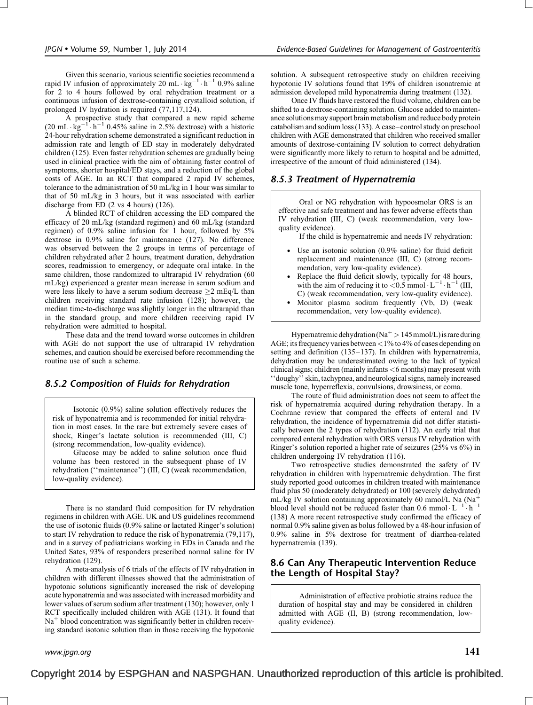Given this scenario, various scientific societies recommend a rapid IV infusion of approximately 20 mL  $\cdot$  kg<sup>-1</sup>  $\cdot$  h<sup>-1</sup> 0.9% saline for 2 to 4 hours followed by oral rehydration treatment or a continuous infusion of dextrose-containing crystalloid solution, if prolonged IV hydration is required (77,117,124).

A prospective study that compared a new rapid scheme  $(20 \text{ mL} \cdot \text{kg}^{-1} \cdot \text{h}^{-1} 0.45\%$  saline in 2.5% dextrose) with a historic 24-hour rehydration scheme demonstrated a significant reduction in admission rate and length of ED stay in moderately dehydrated children (125). Even faster rehydration schemes are gradually being used in clinical practice with the aim of obtaining faster control of symptoms, shorter hospital/ED stays, and a reduction of the global costs of AGE. In an RCT that compared 2 rapid IV schemes, tolerance to the administration of 50 mL/kg in 1 hour was similar to that of 50 mL/kg in 3 hours, but it was associated with earlier discharge from ED (2 vs 4 hours) (126).

A blinded RCT of children accessing the ED compared the efficacy of 20 mL/kg (standard regimen) and 60 mL/kg (standard regimen) of 0.9% saline infusion for 1 hour, followed by 5% dextrose in 0.9% saline for maintenance (127). No difference was observed between the 2 groups in terms of percentage of children rehydrated after 2 hours, treatment duration, dehydration scores, readmission to emergency, or adequate oral intake. In the same children, those randomized to ultrarapid IV rehydration (60 mL/kg) experienced a greater mean increase in serum sodium and were less likely to have a serum sodium decrease  $\geq 2$  mEq/L than children receiving standard rate infusion (128); however, the median time-to-discharge was slightly longer in the ultrarapid than in the standard group, and more children receiving rapid IV rehydration were admitted to hospital.

These data and the trend toward worse outcomes in children with AGE do not support the use of ultrarapid IV rehydration schemes, and caution should be exercised before recommending the routine use of such a scheme.

### 8.5.2 Composition of Fluids for Rehydration

Isotonic (0.9%) saline solution effectively reduces the risk of hyponatremia and is recommended for initial rehydration in most cases. In the rare but extremely severe cases of shock, Ringer's lactate solution is recommended (III, C) (strong recommendation, low-quality evidence).

Glucose may be added to saline solution once fluid volume has been restored in the subsequent phase of IV rehydration (''maintenance'') (III, C) (weak recommendation, low-quality evidence).

There is no standard fluid composition for IV rehydration regimens in children with AGE. UK and US guidelines recommend the use of isotonic fluids (0.9% saline or lactated Ringer's solution) to start IV rehydration to reduce the risk of hyponatremia (79,117), and in a survey of pediatricians working in EDs in Canada and the United Sates, 93% of responders prescribed normal saline for IV rehydration (129).

A meta-analysis of 6 trials of the effects of IV rehydration in children with different illnesses showed that the administration of hypotonic solutions significantly increased the risk of developing acute hyponatremia and was associated with increased morbidity and lower values of serum sodium after treatment (130); however, only 1 RCT specifically included children with AGE (131). It found that  $Na<sup>+</sup> blood concentration was significantly better in children receive$ ing standard isotonic solution than in those receiving the hypotonic

solution. A subsequent retrospective study on children receiving hypotonic IV solutions found that 19% of children isonatremic at admission developed mild hyponatremia during treatment (132).

Once IV fluids have restored the fluid volume, children can be shifted to a dextrose-containing solution. Glucose added to maintenance solutions may support brain metabolism and reduce body protein catabolism and sodium loss (133). A case–control study on preschool children with AGE demonstrated that children who received smaller amounts of dextrose-containing IV solution to correct dehydration were significantly more likely to return to hospital and be admitted, irrespective of the amount of fluid administered (134).

#### 8.5.3 Treatment of Hypernatremia

Oral or NG rehydration with hypoosmolar ORS is an effective and safe treatment and has fewer adverse effects than IV rehydration (III, C) (weak recommendation, very lowquality evidence).

If the child is hypernatremic and needs IV rehydration:

- Use an isotonic solution (0.9% saline) for fluid deficit replacement and maintenance (III, C) (strong recommendation, very low-quality evidence).
- - Replace the fluid deficit slowly, typically for 48 hours, with the aim of reducing it to <0.5 mmol  $\cdot L^{-1} \cdot h^{-1}$  (III, C) (weak recommendation, very low-quality evidence).
- - Monitor plasma sodium frequently (Vb, D) (weak recommendation, very low-quality evidence).

Hypernatremic dehydration (Na<sup>+</sup>  $> 145$  mmol/L) is rare during AGE; its frequency varies between <1% to 4% of cases depending on setting and definition (135–137). In children with hypernatremia, dehydration may be underestimated owing to the lack of typical clinical signs; children (mainly infants <6 months) may present with ''doughy'' skin, tachypnea, and neurological signs, namely increased muscle tone, hyperreflexia, convulsions, drowsiness, or coma.

The route of fluid administration does not seem to affect the risk of hypernatremia acquired during rehydration therapy. In a Cochrane review that compared the effects of enteral and IV rehydration, the incidence of hypernatremia did not differ statistically between the 2 types of rehydration (112). An early trial that compared enteral rehydration with ORS versus IV rehydration with Ringer's solution reported a higher rate of seizures (25% vs 6%) in children undergoing IV rehydration (116).

Two retrospective studies demonstrated the safety of IV rehydration in children with hypernatremic dehydration. The first study reported good outcomes in children treated with maintenance fluid plus 50 (moderately dehydrated) or 100 (severely dehydrated) mL/kg IV solution containing approximately 60 mmol/L Na  $(Na^+$ blood level should not be reduced faster than 0.6 mmol  $L^{-1}$  h<sup>-1</sup> (138) A more recent retrospective study confirmed the efficacy of normal 0.9% saline given as bolus followed by a 48-hour infusion of 0.9% saline in 5% dextrose for treatment of diarrhea-related hypernatremia (139).

# 8.6 Can Any Therapeutic Intervention Reduce the Length of Hospital Stay?

Administration of effective probiotic strains reduce the duration of hospital stay and may be considered in children admitted with AGE (II, B) (strong recommendation, lowquality evidence).

www.jpgn.org 141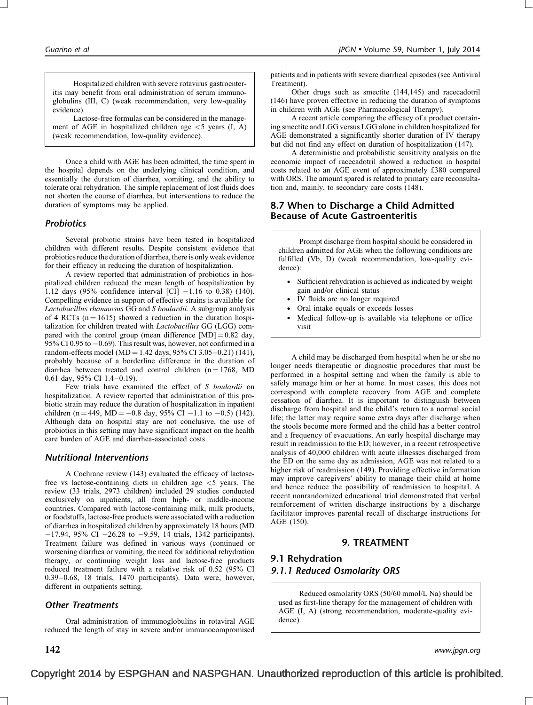Hospitalized children with severe rotavirus gastroenteritis may benefit from oral administration of serum immunoglobulins (III, C) (weak recommendation, very low-quality evidence).

Lactose-free formulas can be considered in the management of AGE in hospitalized children age  $\lt$  5 years (I, A) (weak recommendation, low-quality evidence).

Once a child with AGE has been admitted, the time spent in the hospital depends on the underlying clinical condition, and essentially the duration of diarrhea, vomiting, and the ability to tolerate oral rehydration. The simple replacement of lost fluids does not shorten the course of diarrhea, but interventions to reduce the duration of symptoms may be applied.

### **Probiotics**

Several probiotic strains have been tested in hospitalized children with different results. Despite consistent evidence that probiotics reduce the duration of diarrhea, there is only weak evidence for their efficacy in reducing the duration of hospitalization.

A review reported that administration of probiotics in hospitalized children reduced the mean length of hospitalization by 1.12 days (95% confidence interval [CI]  $-1.16$  to 0.38) (140). Compelling evidence in support of effective strains is available for Lactobacillus rhamnosus GG and S boulardii. A subgroup analysis of 4 RCTs ( $n = 1615$ ) showed a reduction in the duration hospitalization for children treated with Lactobacillus GG (LGG) compared with the control group (mean difference  $[MD] = 0.82$  day, 95% CI 0.95 to  $-0.69$ ). This result was, however, not confirmed in a random-effects model (MD = 1.42 days,  $95\%$  CI 3.05–0.21) (141), probably because of a borderline difference in the duration of diarrhea between treated and control children  $(n = 1768, \text{ MD})$ 0.61 day, 95% CI 1.4–0.19).

Few trials have examined the effect of S boulardii on hospitalization. A review reported that administration of this probiotic strain may reduce the duration of hospitalization in inpatient children (n = 449, MD =  $-0.8$  day, 95% CI  $-1.1$  to  $-0.5$ ) (142). Although data on hospital stay are not conclusive, the use of probiotics in this setting may have significant impact on the health care burden of AGE and diarrhea-associated costs.

#### Nutritional Interventions

A Cochrane review (143) evaluated the efficacy of lactosefree vs lactose-containing diets in children age  $\leq$  years. The review (33 trials, 2973 children) included 29 studies conducted exclusively on inpatients, all from high- or middle-income countries. Compared with lactose-containing milk, milk products, or foodstuffs, lactose-free products were associated with a reduction of diarrhea in hospitalized children by approximately 18 hours (MD  $-17.94$ , 95% CI  $-26.28$  to  $-9.59$ , 14 trials, 1342 participants). Treatment failure was defined in various ways (continued or worsening diarrhea or vomiting, the need for additional rehydration therapy, or continuing weight loss and lactose-free products reduced treatment failure with a relative risk of 0.52 (95% CI 0.39–0.68, 18 trials, 1470 participants). Data were, however, different in outpatients setting.

### Other Treatments

Oral administration of immunoglobulins in rotaviral AGE reduced the length of stay in severe and/or immunocompromised patients and in patients with severe diarrheal episodes (see Antiviral Treatment).

Other drugs such as smectite (144,145) and racecadotril (146) have proven effective in reducing the duration of symptoms in children with AGE (see Pharmacological Therapy).

A recent article comparing the efficacy of a product containing smectite and LGG versus LGG alone in children hospitalized for AGE demonstrated a significantly shorter duration of IV therapy but did not find any effect on duration of hospitalization (147).

A deterministic and probabilistic sensitivity analysis on the economic impact of racecadotril showed a reduction in hospital costs related to an AGE event of approximately £380 compared with ORS. The amount spared is related to primary care reconsultation and, mainly, to secondary care costs (148).

# 8.7 When to Discharge a Child Admitted Because of Acute Gastroenteritis

Prompt discharge from hospital should be considered in children admitted for AGE when the following conditions are fulfilled (Vb, D) (weak recommendation, low-quality evidence):

- - Sufficient rehydration is achieved as indicated by weight gain and/or clinical status
- -IV fluids are no longer required
- -Oral intake equals or exceeds losses
- - Medical follow-up is available via telephone or office visit

A child may be discharged from hospital when he or she no longer needs therapeutic or diagnostic procedures that must be performed in a hospital setting and when the family is able to safely manage him or her at home. In most cases, this does not correspond with complete recovery from AGE and complete cessation of diarrhea. It is important to distinguish between discharge from hospital and the child's return to a normal social life; the latter may require some extra days after discharge when the stools become more formed and the child has a better control and a frequency of evacuations. An early hospital discharge may result in readmission to the ED; however, in a recent retrospective analysis of 40,000 children with acute illnesses discharged from the ED on the same day as admission, AGE was not related to a higher risk of readmission (149). Providing effective information may improve caregivers' ability to manage their child at home and hence reduce the possibility of readmission to hospital. A recent nonrandomized educational trial demonstrated that verbal reinforcement of written discharge instructions by a discharge facilitator improves parental recall of discharge instructions for AGE (150).

### 9. TREATMENT

# 9.1 Rehydration 9.1.1 Reduced Osmolarity ORS

Reduced osmolarity ORS (50/60 mmol/L Na) should be used as first-line therapy for the management of children with AGE (I, A) (strong recommendation, moderate-quality evidence).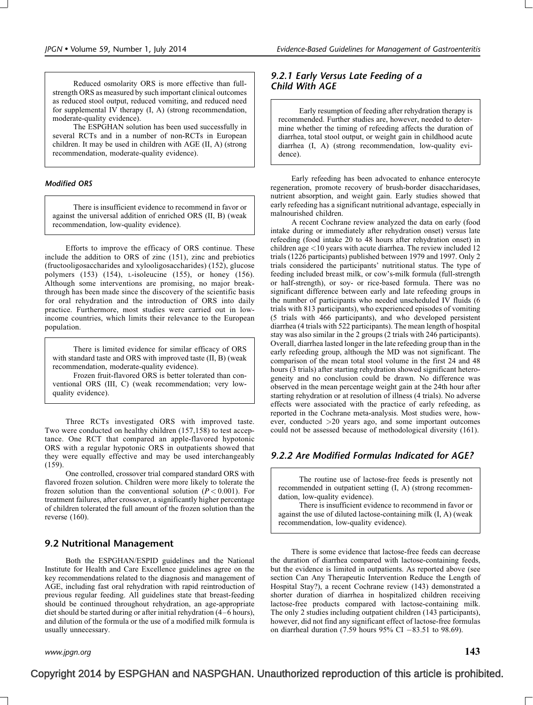Reduced osmolarity ORS is more effective than fullstrength ORS as measured by such important clinical outcomes as reduced stool output, reduced vomiting, and reduced need for supplemental IV therapy (I, A) (strong recommendation, moderate-quality evidence).

The ESPGHAN solution has been used successfully in several RCTs and in a number of non-RCTs in European children. It may be used in children with AGE (II, A) (strong recommendation, moderate-quality evidence).

#### Modified ORS

There is insufficient evidence to recommend in favor or against the universal addition of enriched ORS (II, B) (weak recommendation, low-quality evidence).

Efforts to improve the efficacy of ORS continue. These include the addition to ORS of zinc (151), zinc and prebiotics (fructooligosaccharides and xylooligosaccharides) (152), glucose polymers (153) (154), L-isoleucine (155), or honey (156). Although some interventions are promising, no major breakthrough has been made since the discovery of the scientific basis for oral rehydration and the introduction of ORS into daily practice. Furthermore, most studies were carried out in lowincome countries, which limits their relevance to the European population.

There is limited evidence for similar efficacy of ORS with standard taste and ORS with improved taste (II, B) (weak recommendation, moderate-quality evidence).

Frozen fruit-flavored ORS is better tolerated than conventional ORS (III, C) (weak recommendation; very lowquality evidence).

Three RCTs investigated ORS with improved taste. Two were conducted on healthy children (157,158) to test acceptance. One RCT that compared an apple-flavored hypotonic ORS with a regular hypotonic ORS in outpatients showed that they were equally effective and may be used interchangeably (159).

One controlled, crossover trial compared standard ORS with flavored frozen solution. Children were more likely to tolerate the frozen solution than the conventional solution  $(P < 0.001)$ . For treatment failures, after crossover, a significantly higher percentage of children tolerated the full amount of the frozen solution than the reverse (160).

### 9.2 Nutritional Management

Both the ESPGHAN/ESPID guidelines and the National Institute for Health and Care Excellence guidelines agree on the key recommendations related to the diagnosis and management of AGE, including fast oral rehydration with rapid reintroduction of previous regular feeding. All guidelines state that breast-feeding should be continued throughout rehydration, an age-appropriate diet should be started during or after initial rehydration (4–6 hours), and dilution of the formula or the use of a modified milk formula is usually unnecessary.

# 9.2.1 Early Versus Late Feeding of a Child With AGE

Early resumption of feeding after rehydration therapy is recommended. Further studies are, however, needed to determine whether the timing of refeeding affects the duration of diarrhea, total stool output, or weight gain in childhood acute diarrhea (I, A) (strong recommendation, low-quality evidence).

Early refeeding has been advocated to enhance enterocyte regeneration, promote recovery of brush-border disaccharidases, nutrient absorption, and weight gain. Early studies showed that early refeeding has a significant nutritional advantage, especially in malnourished children.

A recent Cochrane review analyzed the data on early (food intake during or immediately after rehydration onset) versus late refeeding (food intake 20 to 48 hours after rehydration onset) in children age <10 years with acute diarrhea. The review included 12 trials (1226 participants) published between 1979 and 1997. Only 2 trials considered the participants' nutritional status. The type of feeding included breast milk, or cow's-milk formula (full-strength or half-strength), or soy- or rice-based formula. There was no significant difference between early and late refeeding groups in the number of participants who needed unscheduled IV fluids (6 trials with 813 participants), who experienced episodes of vomiting (5 trials with 466 participants), and who developed persistent diarrhea (4 trials with 522 participants). The mean length of hospital stay was also similar in the 2 groups (2 trials with 246 participants). Overall, diarrhea lasted longer in the late refeeding group than in the early refeeding group, although the MD was not significant. The comparison of the mean total stool volume in the first 24 and 48 hours (3 trials) after starting rehydration showed significant heterogeneity and no conclusion could be drawn. No difference was observed in the mean percentage weight gain at the 24th hour after starting rehydration or at resolution of illness (4 trials). No adverse effects were associated with the practice of early refeeding, as reported in the Cochrane meta-analysis. Most studies were, however, conducted >20 years ago, and some important outcomes could not be assessed because of methodological diversity (161).

# 9.2.2 Are Modified Formulas Indicated for AGE?

The routine use of lactose-free feeds is presently not recommended in outpatient setting (I, A) (strong recommendation, low-quality evidence).

There is insufficient evidence to recommend in favor or against the use of diluted lactose-containing milk (I, A) (weak recommendation, low-quality evidence).

There is some evidence that lactose-free feeds can decrease the duration of diarrhea compared with lactose-containing feeds, but the evidence is limited in outpatients. As reported above (see section Can Any Therapeutic Intervention Reduce the Length of Hospital Stay?), a recent Cochrane review (143) demonstrated a shorter duration of diarrhea in hospitalized children receiving lactose-free products compared with lactose-containing milk. The only 2 studies including outpatient children (143 participants), however, did not find any significant effect of lactose-free formulas on diarrheal duration (7.59 hours  $95\%$  CI  $-83.51$  to 98.69).

www.jpgn.org  $143$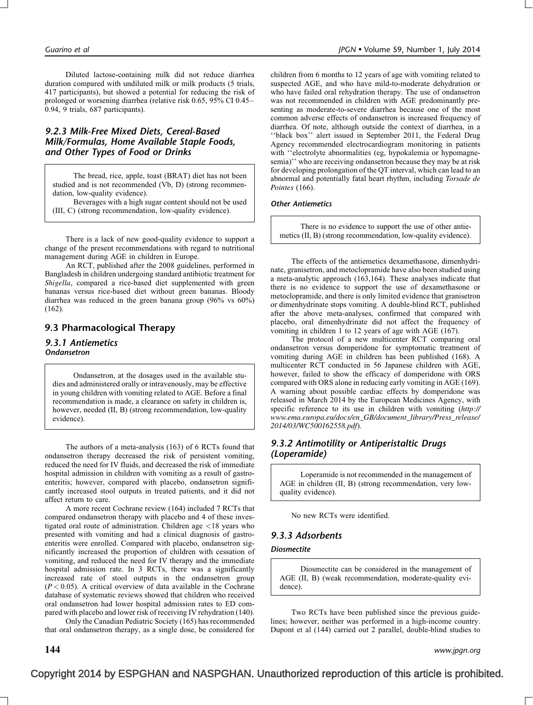Diluted lactose-containing milk did not reduce diarrhea duration compared with undiluted milk or milk products (5 trials, 417 participants), but showed a potential for reducing the risk of prolonged or worsening diarrhea (relative risk 0.65, 95% CI 0.45– 0.94, 9 trials, 687 participants).

# 9.2.3 Milk-Free Mixed Diets, Cereal-Based Milk/Formulas, Home Available Staple Foods, and Other Types of Food or Drinks

The bread, rice, apple, toast (BRAT) diet has not been studied and is not recommended (Vb, D) (strong recommendation, low-quality evidence).

Beverages with a high sugar content should not be used (III, C) (strong recommendation, low-quality evidence).

There is a lack of new good-quality evidence to support a change of the present recommendations with regard to nutritional management during AGE in children in Europe.

An RCT, published after the 2008 guidelines, performed in Bangladesh in children undergoing standard antibiotic treatment for Shigella, compared a rice-based diet supplemented with green bananas versus rice-based diet without green bananas. Bloody diarrhea was reduced in the green banana group (96% vs 60%) (162).

# 9.3 Pharmacological Therapy

### 9.3.1 Antiemetics **Ondansetron**

Ondansetron, at the dosages used in the available studies and administered orally or intravenously, may be effective in young children with vomiting related to AGE. Before a final recommendation is made, a clearance on safety in children is, however, needed (II, B) (strong recommendation, low-quality evidence).

The authors of a meta-analysis (163) of 6 RCTs found that ondansetron therapy decreased the risk of persistent vomiting, reduced the need for IV fluids, and decreased the risk of immediate hospital admission in children with vomiting as a result of gastroenteritis; however, compared with placebo, ondansetron significantly increased stool outputs in treated patients, and it did not affect return to care.

A more recent Cochrane review (164) included 7 RCTs that compared ondansetron therapy with placebo and 4 of these investigated oral route of administration. Children age <18 years who presented with vomiting and had a clinical diagnosis of gastroenteritis were enrolled. Compared with placebo, ondansetron significantly increased the proportion of children with cessation of vomiting, and reduced the need for IV therapy and the immediate hospital admission rate. In 3 RCTs, there was a significantly increased rate of stool outputs in the ondansetron group  $(P<0.05)$ . A critical overview of data available in the Cochrane database of systematic reviews showed that children who received oral ondansetron had lower hospital admission rates to ED compared with placebo and lower risk of receiving IV rehydration (140).

Only the Canadian Pediatric Society (165) has recommended that oral ondansetron therapy, as a single dose, be considered for

children from 6 months to 12 years of age with vomiting related to suspected AGE, and who have mild-to-moderate dehydration or who have failed oral rehydration therapy. The use of ondansetron was not recommended in children with AGE predominantly presenting as moderate-to-severe diarrhea because one of the most common adverse effects of ondansetron is increased frequency of diarrhea. Of note, although outside the context of diarrhea, in a ''black box'' alert issued in September 2011, the Federal Drug Agency recommended electrocardiogram monitoring in patients with ''electrolyte abnormalities (eg, hypokalemia or hypomagnesemia)'' who are receiving ondansetron because they may be at risk for developing prolongation of the QT interval, which can lead to an abnormal and potentially fatal heart rhythm, including Torsade de Pointes (166).

#### Other Antiemetics

There is no evidence to support the use of other antiemetics (II, B) (strong recommendation, low-quality evidence).

The effects of the antiemetics dexamethasone, dimenhydrinate, granisetron, and metoclopramide have also been studied using a meta-analytic approach (163,164). These analyses indicate that there is no evidence to support the use of dexamethasone or metoclopramide, and there is only limited evidence that granisetron or dimenhydrinate stops vomiting. A double-blind RCT, published after the above meta-analyses, confirmed that compared with placebo, oral dimenhydrinate did not affect the frequency of vomiting in children 1 to 12 years of age with AGE (167).

The protocol of a new multicenter RCT comparing oral ondansetron versus domperidone for symptomatic treatment of vomiting during AGE in children has been published (168). A multicenter RCT conducted in 56 Japanese children with AGE, however, failed to show the efficacy of domperidone with ORS compared with ORS alone in reducing early vomiting in AGE (169). A warning about possible cardiac effects by domperidone was released in March 2014 by the European Medicines Agency, with specific reference to its use in children with vomiting (http:// www.ema.europa.eu/docs/en\_GB/document\_library/Press\_release/ 2014/03/WC500162558.pdf).

# 9.3.2 Antimotility or Antiperistaltic Drugs (Loperamide)

Loperamide is not recommended in the management of AGE in children (II, B) (strong recommendation, very lowquality evidence).

No new RCTs were identified.

### 9.3.3 Adsorbents

#### **Diosmectite**

Diosmectite can be considered in the management of AGE (II, B) (weak recommendation, moderate-quality evidence).

Two RCTs have been published since the previous guidelines; however, neither was performed in a high-income country. Dupont et al (144) carried out 2 parallel, double-blind studies to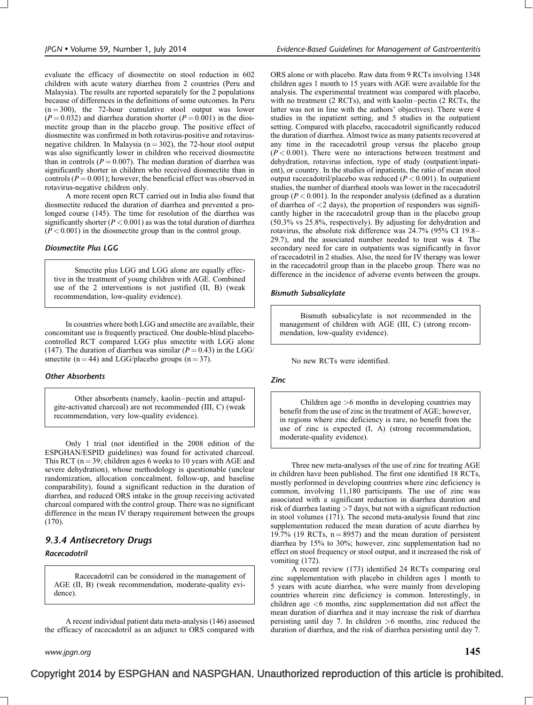evaluate the efficacy of diosmectite on stool reduction in 602 children with acute watery diarrhea from 2 countries (Peru and Malaysia). The results are reported separately for the 2 populations because of differences in the definitions of some outcomes. In Peru  $(n = 300)$ , the 72-hour cumulative stool output was lower  $(P = 0.032)$  and diarrhea duration shorter  $(P = 0.001)$  in the diosmectite group than in the placebo group. The positive effect of diosmectite was confirmed in both rotavirus-positive and rotavirusnegative children. In Malaysia ( $n = 302$ ), the 72-hour stool output was also significantly lower in children who received diosmectite than in controls ( $P = 0.007$ ). The median duration of diarrhea was significantly shorter in children who received diosmectite than in controls ( $P = 0.001$ ); however, the beneficial effect was observed in rotavirus-negative children only.

A more recent open RCT carried out in India also found that diosmectite reduced the duration of diarrhea and prevented a prolonged course (145). The time for resolution of the diarrhea was significantly shorter ( $P < 0.001$ ) as was the total duration of diarrhea  $(P < 0.001)$  in the diosmectite group than in the control group.

#### Diosmectite Plus LGG

Smectite plus LGG and LGG alone are equally effective in the treatment of young children with AGE. Combined use of the 2 interventions is not justified (II, B) (weak recommendation, low-quality evidence).

In countries where both LGG and smectite are available, their concomitant use is frequently practiced. One double-blind placebocontrolled RCT compared LGG plus smectite with LGG alone (147). The duration of diarrhea was similar ( $P = 0.43$ ) in the LGG/ smectite ( $n = 44$ ) and LGG/placebo groups ( $n = 37$ ).

#### Other Absorbents

Other absorbents (namely, kaolin–pectin and attapulgite-activated charcoal) are not recommended (III, C) (weak recommendation, very low-quality evidence).

Only 1 trial (not identified in the 2008 edition of the ESPGHAN/ESPID guidelines) was found for activated charcoal. This RCT ( $n = 39$ ; children ages 6 weeks to 10 years with AGE and severe dehydration), whose methodology is questionable (unclear randomization, allocation concealment, follow-up, and baseline comparability), found a significant reduction in the duration of diarrhea, and reduced ORS intake in the group receiving activated charcoal compared with the control group. There was no significant difference in the mean IV therapy requirement between the groups (170).

# 9.3.4 Antisecretory Drugs

#### Racecadotril

Racecadotril can be considered in the management of AGE (II, B) (weak recommendation, moderate-quality evidence).

A recent individual patient data meta-analysis (146) assessed the efficacy of racecadotril as an adjunct to ORS compared with

www.jpgn.org  $145$ 

ORS alone or with placebo. Raw data from 9 RCTs involving 1348 children ages 1 month to 15 years with AGE were available for the analysis. The experimental treatment was compared with placebo, with no treatment (2 RCTs), and with kaolin–pectin (2 RCTs, the latter was not in line with the authors' objectives). There were 4 studies in the inpatient setting, and 5 studies in the outpatient setting. Compared with placebo, racecadotril significantly reduced the duration of diarrhea. Almost twice as many patients recovered at any time in the racecadotril group versus the placebo group  $(P<0.001)$ . There were no interactions between treatment and dehydration, rotavirus infection, type of study (outpatient/inpatient), or country. In the studies of inpatients, the ratio of mean stool output racecadotril/placebo was reduced ( $P < 0.001$ ). In outpatient studies, the number of diarrheal stools was lower in the racecadotril group ( $P < 0.001$ ). In the responder analysis (defined as a duration of diarrhea of  $\langle 2 \rangle$  days), the proportion of responders was significantly higher in the racecadotril group than in the placebo group (50.3% vs 25.8%, respectively). By adjusting for dehydration and rotavirus, the absolute risk difference was 24.7% (95% CI 19.8– 29.7), and the associated number needed to treat was 4. The secondary need for care in outpatients was significantly in favor of racecadotril in 2 studies. Also, the need for IV therapy was lower in the racecadotril group than in the placebo group. There was no difference in the incidence of adverse events between the groups.

#### Bismuth Subsalicylate

Bismuth subsalicylate is not recommended in the management of children with AGE (III, C) (strong recommendation, low-quality evidence).

No new RCTs were identified.

#### Zinc

Children age >6 months in developing countries may benefit from the use of zinc in the treatment of AGE; however, in regions where zinc deficiency is rare, no benefit from the use of zinc is expected (I, A) (strong recommendation, moderate-quality evidence).

Three new meta-analyses of the use of zinc for treating AGE in children have been published. The first one identified 18 RCTs, mostly performed in developing countries where zinc deficiency is common, involving 11,180 participants. The use of zinc was associated with a significant reduction in diarrhea duration and risk of diarrhea lasting >7 days, but not with a significant reduction in stool volumes (171). The second meta-analysis found that zinc supplementation reduced the mean duration of acute diarrhea by 19.7% (19 RCTs,  $n = 8957$ ) and the mean duration of persistent diarrhea by 15% to 30%; however, zinc supplementation had no effect on stool frequency or stool output, and it increased the risk of vomiting (172).

A recent review (173) identified 24 RCTs comparing oral zinc supplementation with placebo in children ages 1 month to 5 years with acute diarrhea, who were mainly from developing countries wherein zinc deficiency is common. Interestingly, in children age <6 months, zinc supplementation did not affect the mean duration of diarrhea and it may increase the risk of diarrhea persisting until day 7. In children  $>6$  months, zinc reduced the duration of diarrhea, and the risk of diarrhea persisting until day 7.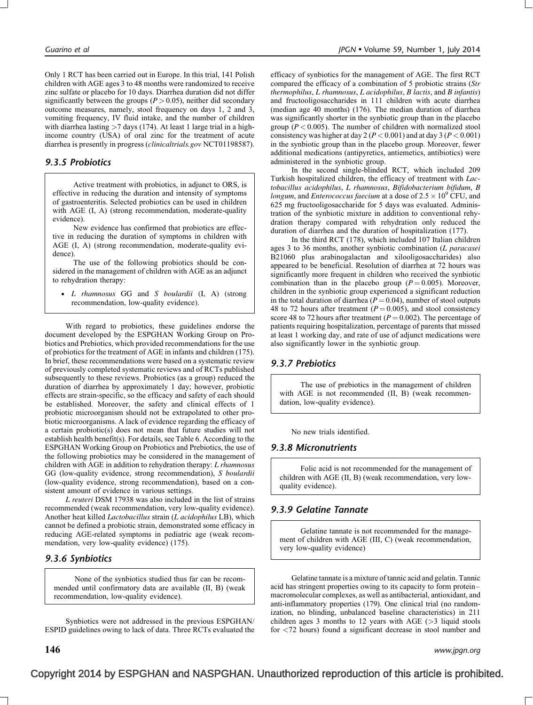Only 1 RCT has been carried out in Europe. In this trial, 141 Polish children with AGE ages 3 to 48 months were randomized to receive zinc sulfate or placebo for 10 days. Diarrhea duration did not differ significantly between the groups ( $P > 0.05$ ), neither did secondary outcome measures, namely, stool frequency on days 1, 2 and 3, vomiting frequency, IV fluid intake, and the number of children with diarrhea lasting  $>7$  days (174). At least 1 large trial in a highincome country (USA) of oral zinc for the treatment of acute diarrhea is presently in progress (clinicaltrials.gov NCT01198587).

# 9.3.5 Probiotics

Active treatment with probiotics, in adjunct to ORS, is effective in reducing the duration and intensity of symptoms of gastroenteritis. Selected probiotics can be used in children with AGE (I, A) (strong recommendation, moderate-quality evidence).

New evidence has confirmed that probiotics are effective in reducing the duration of symptoms in children with AGE (I, A) (strong recommendation, moderate-quality evidence).

The use of the following probiotics should be considered in the management of children with AGE as an adjunct to rehydration therapy:

• *L rhamnosus* GG and *S boulardii* (I, A) (strong recommendation, low-quality evidence).

With regard to probiotics, these guidelines endorse the document developed by the ESPGHAN Working Group on Probiotics and Prebiotics, which provided recommendations for the use of probiotics for the treatment of AGE in infants and children (175). In brief, these recommendations were based on a systematic review of previously completed systematic reviews and of RCTs published subsequently to these reviews. Probiotics (as a group) reduced the duration of diarrhea by approximately 1 day; however, probiotic effects are strain-specific, so the efficacy and safety of each should be established. Moreover, the safety and clinical effects of 1 probiotic microorganism should not be extrapolated to other probiotic microorganisms. A lack of evidence regarding the efficacy of a certain probiotic(s) does not mean that future studies will not establish health benefit(s). For details, see [Table 6.](#page-15-0) According to the ESPGHAN Working Group on Probiotics and Prebiotics, the use of the following probiotics may be considered in the management of children with AGE in addition to rehydration therapy: L rhamnosus GG (low-quality evidence, strong recommendation), S boulardii (low-quality evidence, strong recommendation), based on a consistent amount of evidence in various settings.

L reuteri DSM 17938 was also included in the list of strains recommended (weak recommendation, very low-quality evidence). Another heat killed Lactobacillus strain (L acidophilus LB), which cannot be defined a probiotic strain, demonstrated some efficacy in reducing AGE-related symptoms in pediatric age (weak recommendation, very low-quality evidence) (175).

### 9.3.6 Synbiotics

None of the synbiotics studied thus far can be recommended until confirmatory data are available (II, B) (weak recommendation, low-quality evidence).

Synbiotics were not addressed in the previous ESPGHAN/ ESPID guidelines owing to lack of data. Three RCTs evaluated the

efficacy of synbiotics for the management of AGE. The first RCT compared the efficacy of a combination of 5 probiotic strains (Str thermophilus,  $L$  rhamnosus,  $L$  acidophilus,  $B$  lactis, and  $B$  infantis) and fructooligosaccharides in 111 children with acute diarrhea (median age 40 months) (176). The median duration of diarrhea was significantly shorter in the synbiotic group than in the placebo group ( $P < 0.005$ ). The number of children with normalized stool consistency was higher at day 2 ( $P < 0.001$ ) and at day 3 ( $P < 0.001$ ) in the synbiotic group than in the placebo group. Moreover, fewer additional medications (antipyretics, antiemetics, antibiotics) were administered in the synbiotic group.

In the second single-blinded RCT, which included 209 Turkish hospitalized children, the efficacy of treatment with Lactobacillus acidophilus, L rhamnosus, Bifidobacterium bifidum, B longum, and Enterococcus faecium at a dose of  $2.5 \times 10^9$  CFU, and 625 mg fructooligosaccharide for 5 days was evaluated. Administration of the synbiotic mixture in addition to conventional rehydration therapy compared with rehydration only reduced the duration of diarrhea and the duration of hospitalization (177).

In the third RCT (178), which included 107 Italian children ages 3 to 36 months, another synbiotic combination (L paracasei B21060 plus arabinogalactan and xilooligosaccharides) also appeared to be beneficial. Resolution of diarrhea at 72 hours was significantly more frequent in children who received the synbiotic combination than in the placebo group  $(P = 0.005)$ . Moreover, children in the synbiotic group experienced a significant reduction in the total duration of diarrhea ( $P = 0.04$ ), number of stool outputs 48 to 72 hours after treatment ( $P = 0.005$ ), and stool consistency score 48 to 72 hours after treatment ( $P = 0.002$ ). The percentage of patients requiring hospitalization, percentage of parents that missed at least 1 working day, and rate of use of adjunct medications were also significantly lower in the synbiotic group.

# 9.3.7 Prebiotics

The use of prebiotics in the management of children with AGE is not recommended (II, B) (weak recommendation, low-quality evidence).

No new trials identified.

### 9.3.8 Micronutrients

Folic acid is not recommended for the management of children with AGE (II, B) (weak recommendation, very lowquality evidence).

### 9.3.9 Gelatine Tannate

Gelatine tannate is not recommended for the management of children with AGE (III, C) (weak recommendation, very low-quality evidence)

Gelatine tannate is a mixture of tannic acid and gelatin. Tannic acid has stringent properties owing to its capacity to form protein– macromolecular complexes, as well as antibacterial, antioxidant, and anti-inflammatory properties (179). One clinical trial (no randomization, no blinding, unbalanced baseline characteristics) in 211 children ages 3 months to 12 years with AGE (>3 liquid stools for <72 hours) found a significant decrease in stool number and

 $146 \,$  www.jpgn.org www.jpgn.org www.jpgn.org www.jpgn.org www.jpgn.org  $\,$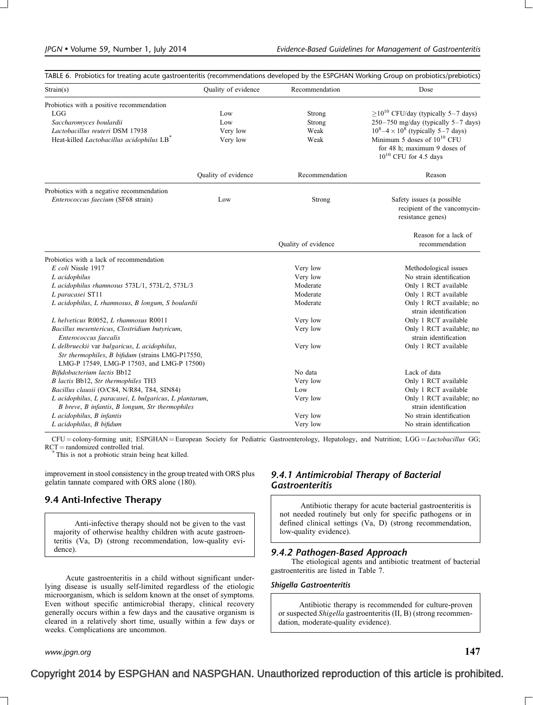| Strain(s)                                                                                                                                      | Quality of evidence | Recommendation      | Dose                                                                                           |
|------------------------------------------------------------------------------------------------------------------------------------------------|---------------------|---------------------|------------------------------------------------------------------------------------------------|
| Probiotics with a positive recommendation                                                                                                      |                     |                     |                                                                                                |
| LGG                                                                                                                                            | Low                 | Strong              | $\geq$ 10 <sup>10</sup> CFU/day (typically 5–7 days)                                           |
| Saccharomyces boulardii                                                                                                                        | Low                 | Strong              | $250 - 750$ mg/day (typically $5 - 7$ days)                                                    |
| Lactobacillus reuteri DSM 17938                                                                                                                | Very low            | Weak                | $10^8 - 4 \times 10^8$ (typically 5-7 days)                                                    |
| Heat-killed Lactobacillus acidophilus LB <sup>*</sup>                                                                                          | Very low            | Weak                | Minimum 5 doses of $10^{10}$ CFU<br>for 48 h; maximum 9 doses of<br>$10^{10}$ CFU for 4.5 days |
|                                                                                                                                                | Quality of evidence | Recommendation      | Reason                                                                                         |
| Probiotics with a negative recommendation                                                                                                      |                     |                     |                                                                                                |
| Enterococcus faecium (SF68 strain)                                                                                                             | Low                 | Strong              | Safety issues (a possible<br>recipient of the vancomycin-<br>resistance genes)                 |
|                                                                                                                                                |                     | Quality of evidence | Reason for a lack of<br>recommendation                                                         |
| Probiotics with a lack of recommendation                                                                                                       |                     |                     |                                                                                                |
| E coli Nissle 1917                                                                                                                             |                     | Very low            | Methodological issues                                                                          |
| L acidophilus                                                                                                                                  |                     | Very low            | No strain identification                                                                       |
| L acidophilus rhamnosus 573L/1, 573L/2, 573L/3                                                                                                 |                     | Moderate            | Only 1 RCT available                                                                           |
| L paracasei ST11                                                                                                                               |                     | Moderate            | Only 1 RCT available                                                                           |
| L acidophilus, L rhamnosus, B longum, S boulardii                                                                                              |                     | Moderate            | Only 1 RCT available; no<br>strain identification                                              |
| L helveticus R0052, L rhamnosus R0011                                                                                                          |                     | Very low            | Only 1 RCT available                                                                           |
| Bacillus mesentericus, Clostridium butyricum,<br>Enterococcus faecalis                                                                         |                     | Very low            | Only 1 RCT available; no<br>strain identification                                              |
| L delbrueckii var bulgaricus, L acidophilus,<br>Str thermophiles, B bifidum (strains LMG-P17550,<br>LMG-P 17549, LMG-P 17503, and LMG-P 17500) |                     | Very low            | Only 1 RCT available                                                                           |
| Bifidobacterium lactis Bb12                                                                                                                    |                     | No data             | Lack of data                                                                                   |
| B lactis Bb12, Str thermophiles TH3                                                                                                            |                     | Very low            | Only 1 RCT available                                                                           |
| Bacillus clausii (O/C84, N/R84, T84, SIN84)                                                                                                    |                     | Low                 | Only 1 RCT available                                                                           |
| L acidophilus, L paracasei, L bulgaricus, L plantarum,                                                                                         |                     | Very low            | Only 1 RCT available; no                                                                       |
| B breve, B infantis, B longum, Str thermophiles                                                                                                |                     |                     | strain identification                                                                          |
| L acidophilus, B infantis                                                                                                                      |                     | Very low            | No strain identification                                                                       |
| L acidophilus, B bifidum                                                                                                                       |                     | Very low            | No strain identification                                                                       |

<span id="page-15-0"></span>TABLE 6. Probiotics for treating acute gastroenteritis (recommendations developed by the ESPGHAN Working Group on probiotics/prebiotics)

CFU = colony-forming unit; ESPGHAN = European Society for Pediatric Gastroenterology, Hepatology, and Nutrition; LGG = Lactobacillus GG;  $RCT =$  randomized controlled trial.<br>
<sup>\*</sup>This is not a probiotic strain being heat killed.

improvement in stool consistency in the group treated with ORS plus gelatin tannate compared with ORS alone (180).

# 9.4 Anti-Infective Therapy

Anti-infective therapy should not be given to the vast majority of otherwise healthy children with acute gastroenteritis (Va, D) (strong recommendation, low-quality evidence).

Acute gastroenteritis in a child without significant underlying disease is usually self-limited regardless of the etiologic microorganism, which is seldom known at the onset of symptoms. Even without specific antimicrobial therapy, clinical recovery generally occurs within a few days and the causative organism is cleared in a relatively short time, usually within a few days or weeks. Complications are uncommon.

www.jpgn.org  $147$ 

# 9.4.1 Antimicrobial Therapy of Bacterial **Gastroenteritis**

Antibiotic therapy for acute bacterial gastroenteritis is not needed routinely but only for specific pathogens or in defined clinical settings (Va, D) (strong recommendation, low-quality evidence).

### 9.4.2 Pathogen-Based Approach

The etiological agents and antibiotic treatment of bacterial gastroenteritis are listed in [Table 7.](#page-16-0)

#### Shigella Gastroenteritis

Antibiotic therapy is recommended for culture-proven or suspected Shigella gastroenteritis (II, B) (strong recommendation, moderate-quality evidence).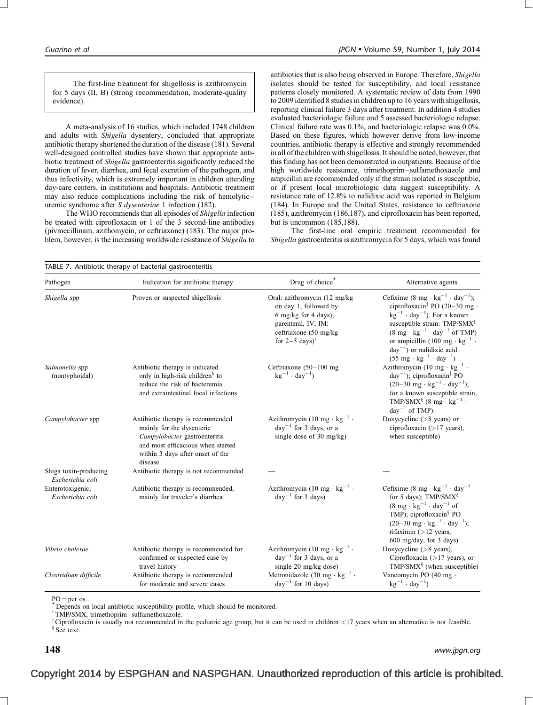<span id="page-16-0"></span>The first-line treatment for shigellosis is azithromycin for 5 days (II, B) (strong recommendation, moderate-quality evidence).

A meta-analysis of 16 studies, which included 1748 children and adults with Shigella dysentery, concluded that appropriate antibiotic therapy shortened the duration of the disease (181). Several well-designed controlled studies have shown that appropriate antibiotic treatment of Shigella gastroenteritis significantly reduced the duration of fever, diarrhea, and fecal excretion of the pathogen, and thus infectivity, which is extremely important in children attending day-care centers, in institutions and hospitals. Antibiotic treatment may also reduce complications including the risk of hemolytic– uremic syndrome after S dysenteriae 1 infection (182).

The WHO recommends that all episodes of Shigella infection be treated with ciprofloxacin or 1 of the 3 second-line antibodies (pivmecillinam, azithomycin, or ceftriaxone) (183). The major problem, however, is the increasing worldwide resistance of Shigella to

antibiotics that is also being observed in Europe. Therefore, Shigella isolates should be tested for susceptibility, and local resistance patterns closely monitored. A systematic review of data from 1990 to 2009 identified 8 studies in children up to 16 years with shigellosis, reporting clinical failure 3 days after treatment. In addition 4 studies evaluated bacteriologic failure and 5 assessed bacteriologic relapse. Clinical failure rate was 0.1%, and bacteriologic relapse was 0.0%. Based on these figures, which however derive from low-income countries, antibiotic therapy is effective and strongly recommended in all of the children with shigellosis. It should be noted, however, that this finding has not been demonstrated in outpatients. Because of the high worldwide resistance, trimethoprim–sulfamethoxazole and ampicillin are recommended only if the strain isolated is susceptible, or if present local microbiologic data suggest susceptibility. A resistance rate of 12.8% to nalidixic acid was reported in Belgium (184). In Europe and the United States, resistance to ceftriaxone (185), azithromycin (186,187), and ciprofloxacin has been reported, but is uncommon (185,188).

The first-line oral empiric treatment recommended for Shigella gastroenteritis is azithromycin for 5 days, which was found

| TABLE 7. Antibiotic therapy of bacterial gastroenteritis |                                                                                                                                                                                     |                                                                                                                                                                 |                                                                                                                                                                                                                                                                                                                                                                                                                                                                                  |  |
|----------------------------------------------------------|-------------------------------------------------------------------------------------------------------------------------------------------------------------------------------------|-----------------------------------------------------------------------------------------------------------------------------------------------------------------|----------------------------------------------------------------------------------------------------------------------------------------------------------------------------------------------------------------------------------------------------------------------------------------------------------------------------------------------------------------------------------------------------------------------------------------------------------------------------------|--|
| Pathogen                                                 | Indication for antibiotic therapy                                                                                                                                                   | Drug of choice*                                                                                                                                                 | Alternative agents                                                                                                                                                                                                                                                                                                                                                                                                                                                               |  |
| Shigella spp                                             | Proven or suspected shigellosis                                                                                                                                                     | Oral: azithromycin (12 mg/kg)<br>on day 1, followed by<br>6 mg/kg for 4 days);<br>parenteral, IV, IM:<br>ceftriaxone (50 mg/kg)<br>for $2-5$ days) <sup>†</sup> | Cefixime $(8 \text{ mg} \cdot \text{kg}^{-1} \cdot \text{day}^{-1})$ ;<br>ciprofloxacin <sup><math>\ddagger</math></sup> PO (20-30 mg ·<br>$kg^{-1} \cdot day^{-1}$ ). For a known<br>susceptible strain: TMP/SMX <sup>†</sup><br>$(8 \text{ mg} \cdot \text{kg}^{-1} \cdot \text{day}^{-1} \text{ of } \text{TMP})$<br>or ampicillin (100 mg $\cdot$ kg <sup>-1</sup> $\cdot$<br>$day^{-1}$ ) or nalidixic acid<br>$(55 \text{ mg} \cdot \text{kg}^{-1} \cdot \text{day}^{-1})$ |  |
| Salmonella spp<br>(nontyphoidal)                         | Antibiotic therapy is indicated<br>only in high-risk children <sup>§</sup> to<br>reduce the risk of bacteremia<br>and extraintestinal focal infections                              | Ceftriaxone (50-100 mg ·<br>$kg^{-1} \cdot day^{-1}$                                                                                                            | Azithromycin (10 mg · $kg^{-1}$ ·<br>$day^{-1}$ ); ciprofloxacin <sup>‡</sup> PO<br>$(20-30 \text{ mg} \cdot \text{kg}^{-1} \cdot \text{day}^{-1})$ ;<br>for a known susceptible strain,<br>TMP/SMX <sup>§</sup> $(8 \text{ mg} \cdot \text{kg}^{-1} \cdot$<br>$day^{-1}$ of TMP).                                                                                                                                                                                               |  |
| Campylobacter spp                                        | Antibiotic therapy is recommended<br>mainly for the dysenteric<br>Campylobacter gastroenteritis<br>and most efficacious when started<br>within 3 days after onset of the<br>disease | Azithromycin (10 mg $\cdot$ kg <sup>-1</sup> $\cdot$<br>$day^{-1}$ for 3 days, or a<br>single dose of 30 mg/kg)                                                 | Doxycycline $($ >8 years) or<br>ciprofloxacin $(>17$ years),<br>when susceptible)                                                                                                                                                                                                                                                                                                                                                                                                |  |
| Shiga toxin-producing<br>Escherichia coli                | Antibiotic therapy is not recommended                                                                                                                                               |                                                                                                                                                                 |                                                                                                                                                                                                                                                                                                                                                                                                                                                                                  |  |
| Enterotoxigenic;<br>Escherichia coli                     | Antibiotic therapy is recommended,<br>mainly for traveler's diarrhea                                                                                                                | Azithromycin (10 mg · $kg^{-1}$ ·<br>$day^{-1}$ for 3 days)                                                                                                     | Cefixime $(8 \text{ mg} \cdot \text{kg}^{-1} \cdot \text{day}^{-1})$<br>for 5 days); $TMP/SMX^{\$}$<br>$(8 \text{ mg} \cdot \text{kg}^{-1} \cdot \text{day}^{-1} \text{ of}$<br>TMP); ciprofloxacin <sup>§</sup> PO<br>$(20-30 \text{ mg} \cdot \text{kg}^{-1} \cdot \text{day}^{-1})$ ;<br>rifaximin $(>12$ years,<br>$600$ mg/day, for 3 days)                                                                                                                                 |  |
| Vibrio cholerae                                          | Antibiotic therapy is recommended for<br>confirmed or suspected case by<br>travel history                                                                                           | Azithromycin (10 mg $\cdot$ kg <sup>-1</sup> $\cdot$<br>$day^{-1}$ for 3 days, or a<br>single 20 mg/kg dose)                                                    | Doxycycline $($ >8 years),<br>Ciprofloxacin $(>17$ years), or<br>$TMP/SMX^{\S}$ (when susceptible)                                                                                                                                                                                                                                                                                                                                                                               |  |
| Clostridium difficile                                    | Antibiotic therapy is recommended<br>for moderate and severe cases                                                                                                                  | Metronidazole (30 mg $\cdot$ kg <sup>-1</sup> $\cdot$<br>$day^{-1}$ for 10 days)                                                                                | Vancomycin PO (40 mg ·<br>$kg^{-1} \cdot day^{-1}$                                                                                                                                                                                                                                                                                                                                                                                                                               |  |

PO = per os.<br>\* Depends on local antibiotic susceptibility profile, which should be monitored.

<sup>†</sup>TMP/SMX, trimethoprim–sulfamethoxazole.

<sup> $\ddagger$ </sup> Ciprofloxacin is usually not recommended in the pediatric age group, but it can be used in children  $\langle 17 \rangle$  years when an alternative is not feasible. § See text.

 $148$  www.jpgn.org www.jpgn.org www.jpgn.org www.jpgn.org www.jpgn.org www.jpgn.org  $\,$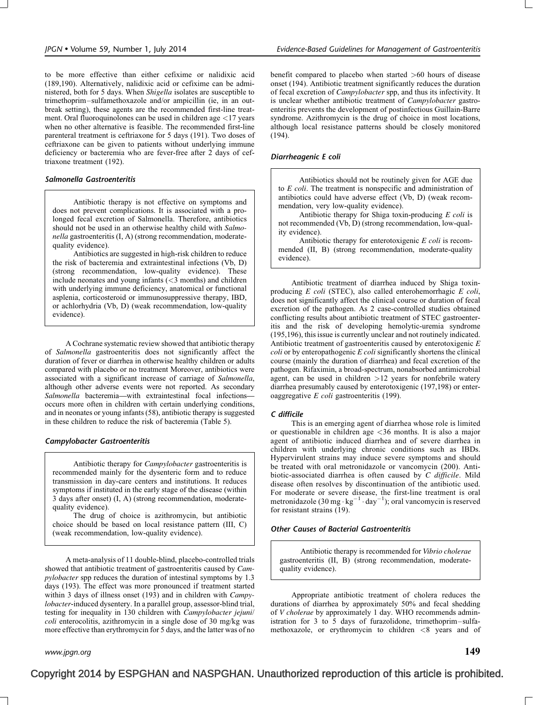to be more effective than either cefixime or nalidixic acid (189,190). Alternatively, nalidixic acid or cefixime can be administered, both for 5 days. When Shigella isolates are susceptible to trimethoprim–sulfamethoxazole and/or ampicillin (ie, in an outbreak setting), these agents are the recommended first-line treatment. Oral fluoroquinolones can be used in children age <17 years when no other alternative is feasible. The recommended first-line parenteral treatment is ceftriaxone for 5 days (191). Two doses of ceftriaxone can be given to patients without underlying immune deficiency or bacteremia who are fever-free after 2 days of ceftriaxone treatment (192).

#### Salmonella Gastroenteritis

Antibiotic therapy is not effective on symptoms and does not prevent complications. It is associated with a prolonged fecal excretion of Salmonella. Therefore, antibiotics should not be used in an otherwise healthy child with Salmonella gastroenteritis (I, A) (strong recommendation, moderatequality evidence).

Antibiotics are suggested in high-risk children to reduce the risk of bacteremia and extraintestinal infections (Vb, D) (strong recommendation, low-quality evidence). These include neonates and young infants  $(<$ 3 months) and children with underlying immune deficiency, anatomical or functional asplenia, corticosteroid or immunosuppressive therapy, IBD, or achlorhydria (Vb, D) (weak recommendation, low-quality evidence).

A Cochrane systematic review showed that antibiotic therapy of Salmonella gastroenteritis does not significantly affect the duration of fever or diarrhea in otherwise healthy children or adults compared with placebo or no treatment Moreover, antibiotics were associated with a significant increase of carriage of Salmonella, although other adverse events were not reported. As secondary Salmonella bacteremia—with extraintestinal focal infections occurs more often in children with certain underlying conditions, and in neonates or young infants (58), antibiotic therapy is suggested in these children to reduce the risk of bacteremia [\(Table 5\)](#page-8-0).

#### Campylobacter Gastroenteritis

Antibiotic therapy for Campylobacter gastroenteritis is recommended mainly for the dysenteric form and to reduce transmission in day-care centers and institutions. It reduces symptoms if instituted in the early stage of the disease (within 3 days after onset) (I, A) (strong recommendation, moderatequality evidence).

The drug of choice is azithromycin, but antibiotic choice should be based on local resistance pattern (III, C) (weak recommendation, low-quality evidence).

A meta-analysis of 11 double-blind, placebo-controlled trials showed that antibiotic treatment of gastroenteritis caused by Campylobacter spp reduces the duration of intestinal symptoms by 1.3 days (193). The effect was more pronounced if treatment started within 3 days of illness onset (193) and in children with Campylobacter-induced dysentery. In a parallel group, assessor-blind trial, testing for inequality in 130 children with Campylobacter jejuni/ coli enterocolitis, azithromycin in a single dose of 30 mg/kg was more effective than erythromycin for 5 days, and the latter was of no

www.jpgn.org  $149$ 

benefit compared to placebo when started >60 hours of disease onset (194). Antibiotic treatment significantly reduces the duration of fecal excretion of Campylobacter spp, and thus its infectivity. It is unclear whether antibiotic treatment of Campylobacter gastroenteritis prevents the development of postinfectious Guillain-Barre syndrome. Azithromycin is the drug of choice in most locations, although local resistance patterns should be closely monitored  $(194)$ .

#### Diarrheagenic E coli

Antibiotics should not be routinely given for AGE due to E coli. The treatment is nonspecific and administration of antibiotics could have adverse effect (Vb, D) (weak recommendation, very low-quality evidence).

Antibiotic therapy for Shiga toxin-producing E coli is not recommended (Vb, D) (strong recommendation, low-quality evidence).

Antibiotic therapy for enterotoxigenic E coli is recommended (II, B) (strong recommendation, moderate-quality evidence).

Antibiotic treatment of diarrhea induced by Shiga toxinproducing E coli (STEC), also called enterohemorrhagic E coli, does not significantly affect the clinical course or duration of fecal excretion of the pathogen. As 2 case-controlled studies obtained conflicting results about antibiotic treatment of STEC gastroenteritis and the risk of developing hemolytic-uremia syndrome (195,196), this issue is currently unclear and not routinely indicated. Antibiotic treatment of gastroenteritis caused by enterotoxigenic  $E$ coli or by enteropathogenic E coli significantly shortens the clinical course (mainly the duration of diarrhea) and fecal excretion of the pathogen. Rifaximin, a broad-spectrum, nonabsorbed antimicrobial agent, can be used in children  $>12$  years for nonfebrile watery diarrhea presumably caused by enterotoxigenic (197,198) or enteroaggregative E coli gastroenteritis (199).

#### C difficile

This is an emerging agent of diarrhea whose role is limited or questionable in children age <36 months. It is also a major agent of antibiotic induced diarrhea and of severe diarrhea in children with underlying chronic conditions such as IBDs. Hypervirulent strains may induce severe symptoms and should be treated with oral metronidazole or vancomycin (200). Antibiotic-associated diarrhea is often caused by C difficile. Mild disease often resolves by discontinuation of the antibiotic used. For moderate or severe disease, the first-line treatment is oral metronidazole (30 mg  $\cdot$  kg<sup>-1</sup>  $\cdot$  day<sup>-1</sup>); oral vancomycin is reserved for resistant strains [\(19\).](#page-19-0)

#### Other Causes of Bacterial Gastroenteritis

Antibiotic therapy is recommended for Vibrio cholerae gastroenteritis (II, B) (strong recommendation, moderatequality evidence).

Appropriate antibiotic treatment of cholera reduces the durations of diarrhea by approximately 50% and fecal shedding of V cholerae by approximately 1 day. WHO recommends administration for 3 to 5 days of furazolidone, trimethoprim–sulfamethoxazole, or erythromycin to children <8 years and of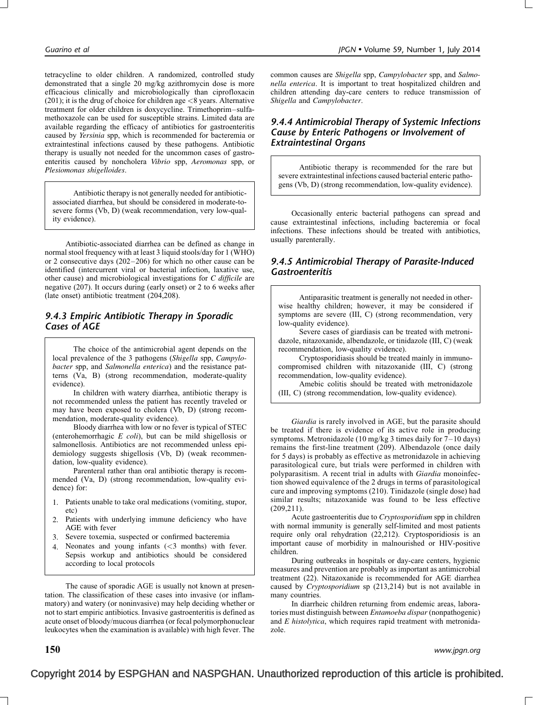tetracycline to older children. A randomized, controlled study demonstrated that a single 20 mg/kg azithromycin dose is more efficacious clinically and microbiologically than ciprofloxacin (201); it is the drug of choice for children age  $\lt 8$  years. Alternative treatment for older children is doxycycline. Trimethoprim–sulfamethoxazole can be used for susceptible strains. Limited data are available regarding the efficacy of antibiotics for gastroenteritis caused by Yersinia spp, which is recommended for bacteremia or extraintestinal infections caused by these pathogens. Antibiotic therapy is usually not needed for the uncommon cases of gastroenteritis caused by noncholera Vibrio spp, Aeromonas spp, or Plesiomonas shigelloides.

Antibiotic therapy is not generally needed for antibioticassociated diarrhea, but should be considered in moderate-tosevere forms (Vb, D) (weak recommendation, very low-quality evidence).

Antibiotic-associated diarrhea can be defined as change in normal stool frequency with at least 3 liquid stools/day for 1 (WHO) or 2 consecutive days (202–206) for which no other cause can be identified (intercurrent viral or bacterial infection, laxative use, other cause) and microbiological investigations for C difficile are negative (207). It occurs during (early onset) or 2 to 6 weeks after (late onset) antibiotic treatment (204,208).

# 9.4.3 Empiric Antibiotic Therapy in Sporadic Cases of AGE

The choice of the antimicrobial agent depends on the local prevalence of the 3 pathogens (Shigella spp, Campylobacter spp, and Salmonella enterica) and the resistance patterns (Va, B) (strong recommendation, moderate-quality evidence).

In children with watery diarrhea, antibiotic therapy is not recommended unless the patient has recently traveled or may have been exposed to cholera (Vb, D) (strong recommendation, moderate-quality evidence).

Bloody diarrhea with low or no fever is typical of STEC (enterohemorrhagic E coli), but can be mild shigellosis or salmonellosis. Antibiotics are not recommended unless epidemiology suggests shigellosis (Vb, D) (weak recommendation, low-quality evidence).

Parenteral rather than oral antibiotic therapy is recommended (Va, D) (strong recommendation, low-quality evidence) for:

- 1. Patients unable to take oral medications (vomiting, stupor, etc)
- 2. Patients with underlying immune deficiency who have AGE with fever
- 3. Severe toxemia, suspected or confirmed bacteremia
- 4. Neonates and young infants (<3 months) with fever. Sepsis workup and antibiotics should be considered according to local protocols

The cause of sporadic AGE is usually not known at presentation. The classification of these cases into invasive (or inflammatory) and watery (or noninvasive) may help deciding whether or not to start empiric antibiotics. Invasive gastroenteritis is defined as acute onset of bloody/mucous diarrhea (or fecal polymorphonuclear leukocytes when the examination is available) with high fever. The

common causes are Shigella spp, Campylobacter spp, and Salmonella enterica. It is important to treat hospitalized children and children attending day-care centers to reduce transmission of Shigella and Campylobacter.

# 9.4.4 Antimicrobial Therapy of Systemic Infections Cause by Enteric Pathogens or Involvement of Extraintestinal Organs

Antibiotic therapy is recommended for the rare but severe extraintestinal infections caused bacterial enteric pathogens (Vb, D) (strong recommendation, low-quality evidence).

Occasionally enteric bacterial pathogens can spread and cause extraintestinal infections, including bacteremia or focal infections. These infections should be treated with antibiotics, usually parenterally.

# 9.4.5 Antimicrobial Therapy of Parasite-Induced Gastroenteritis

Antiparasitic treatment is generally not needed in otherwise healthy children; however, it may be considered if symptoms are severe (III, C) (strong recommendation, very low-quality evidence).

Severe cases of giardiasis can be treated with metronidazole, nitazoxanide, albendazole, or tinidazole (III, C) (weak recommendation, low-quality evidence).

Cryptosporidiasis should be treated mainly in immunocompromised children with nitazoxanide (III, C) (strong recommendation, low-quality evidence).

Amebic colitis should be treated with metronidazole (III, C) (strong recommendation, low-quality evidence).

Giardia is rarely involved in AGE, but the parasite should be treated if there is evidence of its active role in producing symptoms. Metronidazole (10 mg/kg 3 times daily for 7–10 days) remains the first-line treatment (209). Albendazole (once daily for 5 days) is probably as effective as metronidazole in achieving parasitological cure, but trials were performed in children with polyparasitism. A recent trial in adults with Giardia monoinfection showed equivalence of the 2 drugs in terms of parasitological cure and improving symptoms (210). Tinidazole (single dose) had similar results; nitazoxanide was found to be less effective (209,211).

Acute gastroenteritis due to Cryptosporidium spp in children with normal immunity is generally self-limited and most patients require only oral rehydration (22,212). Cryptosporidiosis is an important cause of morbidity in malnourished or HIV-positive children.

During outbreaks in hospitals or day-care centers, hygienic measures and prevention are probably as important as antimicrobial treatment (22). Nitazoxanide is recommended for AGE diarrhea caused by Cryptosporidium sp (213,214) but is not available in many countries.

In diarrheic children returning from endemic areas, laboratories must distinguish between Entamoeba dispar (nonpathogenic) and E histolytica, which requires rapid treatment with metronidazole.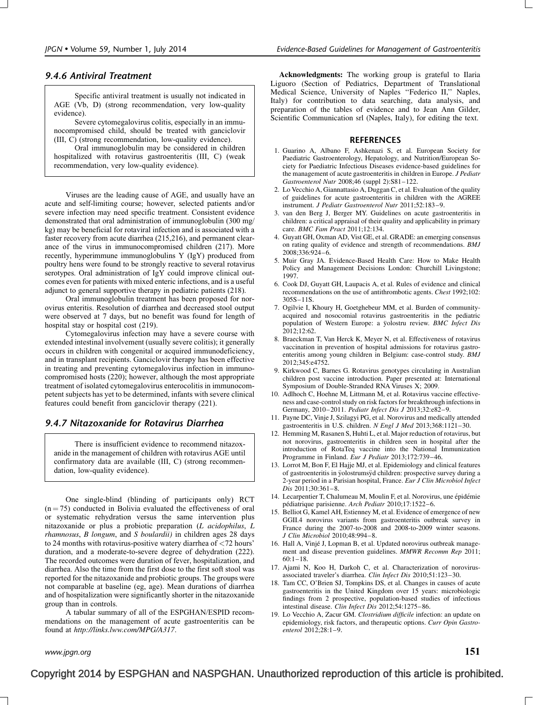### <span id="page-19-0"></span>9.4.6 Antiviral Treatment

Specific antiviral treatment is usually not indicated in AGE (Vb, D) (strong recommendation, very low-quality evidence).

Severe cytomegalovirus colitis, especially in an immunocompromised child, should be treated with ganciclovir (III, C) (strong recommendation, low-quality evidence).

Oral immunoglobulin may be considered in children hospitalized with rotavirus gastroenteritis (III, C) (weak recommendation, very low-quality evidence).

Viruses are the leading cause of AGE, and usually have an acute and self-limiting course; however, selected patients and/or severe infection may need specific treatment. Consistent evidence demonstrated that oral administration of immunoglobulin (300 mg/ kg) may be beneficial for rotaviral infection and is associated with a faster recovery from acute diarrhea (215,216), and permanent clearance of the virus in immunocompromised children (217). More recently, hyperimmune immunoglobulins Y (IgY) produced from poultry hens were found to be strongly reactive to several rotavirus serotypes. Oral administration of IgY could improve clinical outcomes even for patients with mixed enteric infections, and is a useful adjunct to general supportive therapy in pediatric patients (218).

Oral immunoglobulin treatment has been proposed for norovirus enteritis. Resolution of diarrhea and decreased stool output were observed at 7 days, but no benefit was found for length of hospital stay or hospital cost (219).

Cytomegalovirus infection may have a severe course with extended intestinal involvement (usually severe colitis); it generally occurs in children with congenital or acquired immunodeficiency, and in transplant recipients. Ganciclovir therapy has been effective in treating and preventing cytomegalovirus infection in immunocompromised hosts (220); however, although the most appropriate treatment of isolated cytomegalovirus enterocolitis in immunocompetent subjects has yet to be determined, infants with severe clinical features could benefit from ganciclovir therapy (221).

### 9.4.7 Nitazoxanide for Rotavirus Diarrhea

There is insufficient evidence to recommend nitazoxanide in the management of children with rotavirus AGE until confirmatory data are available (III, C) (strong recommendation, low-quality evidence).

One single-blind (blinding of participants only) RCT  $(n = 75)$  conducted in Bolivia evaluated the effectiveness of oral or systematic rehydration versus the same intervention plus nitazoxanide or plus a probiotic preparation (L acidophilus, L rhamnosus, B longum, and S boulardii) in children ages 28 days to 24 months with rotavirus-positive watery diarrhea of <72 hours' duration, and a moderate-to-severe degree of dehydration (222). The recorded outcomes were duration of fever, hospitalization, and diarrhea. Also the time from the first dose to the first soft stool was reported for the nitazoxanide and probiotic groups. The groups were not comparable at baseline (eg, age). Mean durations of diarrhea and of hospitalization were significantly shorter in the nitazoxanide group than in controls.

A tabular summary of all of the ESPGHAN/ESPID recommendations on the management of acute gastroenteritis can be found at <http://links.lww.com/MPG/A317>.

www.jpgn.org  $151$ 

Acknowledgments: The working group is grateful to Ilaria Liguoro (Section of Pediatrics, Department of Translational Medical Science, University of Naples ''Federico II,'' Naples, Italy) for contribution to data searching, data analysis, and preparation of the tables of evidence and to Jean Ann Gilder, Scientific Communication srl (Naples, Italy), for editing the text.

#### **REFERENCES**

- 1. Guarino A, Albano F, Ashkenazi S, et al. European Society for Paediatric Gastroenterology, Hepatology, and Nutrition/European Society for Paediatric Infectious Diseases evidence-based guidelines for the management of acute gastroenteritis in children in Europe. J Pediatr Gastroenterol Nutr 2008;46 (suppl 2):S81–122.
- 2. Lo Vecchio A, Giannattasio A, Duggan C, et al. Evaluation of the quality of guidelines for acute gastroenteritis in children with the AGREE instrument. J Pediatr Gastroenterol Nutr 2011;52:183–9.
- 3. van den Berg J, Berger MY. Guidelines on acute gastroenteritis in children: a critical appraisal of their quality and applicability in primary care. BMC Fam Pract 2011;12:134.
- 4. Guyatt GH, Oxman AD, Vist GE, et al. GRADE: an emerging consensus on rating quality of evidence and strength of recommendations. BMJ 2008;336:924–6.
- 5. Muir Gray JA. Evidence-Based Health Care: How to Make Health Policy and Management Decisions London: Churchill Livingstone; 1997.
- 6. Cook DJ, Guyatt GH, Laupacis A, et al. Rules of evidence and clinical recommendations on the use of antithrombotic agents. Chest 1992;102: 305S–11S.
- 7. Ogilvie I, Khoury H, Goetghebeur MM, et al. Burden of communityacquired and nosocomial rotavirus gastroenteritis in the pediatric population of Western Europe: a yolostru review. BMC Infect Dis 2012;12:62.
- 8. Braeckman T, Van Herck K, Meyer N, et al. Effectiveness of rotavirus vaccination in prevention of hospital admissions for rotavirus gastroenteritis among young children in Belgium: case-control study. BMJ 2012;345:e4752.
- 9. Kirkwood C, Barnes G. Rotavirus genotypes circulating in Australian children post vaccine introduction. Paper presented at: International Symposium of Double-Stranded RNA Viruses X; 2009.
- 10. Adlhoch C, Hoehne M, Littmann M, et al. Rotavirus vaccine effectiveness and case-control study on risk factors for breakthrough infections in Germany, 2010–2011. Pediatr Infect Dis J 2013;32:e82–9.
- 11. Payne DC, Vinje J, Szilagyi PG, et al. Norovirus and medically attended gastroenteritis in U.S. children. N Engl J Med 2013;368:1121-30.
- 12. Hemming M, Rasanen S, Huhti L, et al. Major reduction of rotavirus, but not norovirus, gastroenteritis in children seen in hospital after the introduction of RotaTeq vaccine into the National Immunization Programme in Finland. Eur J Pediatr 2013;172:739–46.
- 13. Lorrot M, Bon F, El Hajje MJ, et al. Epidemiology and clinical features of gastroenteritis in yolostrumsyd children: prospective survey during a 2-year period in a Parisian hospital, France. Eur J Clin Microbiol Infect Dis 2011;30:361–8.
- 14. Lecarpentier T, Chalumeau M, Moulin F, et al. Norovirus, une épidémie pédiatrique parisienne. Arch Pediatr 2010;17:1522-6.
- 15. Belliot G, Kamel AH, Estienney M, et al. Evidence of emergence of new GGII.4 norovirus variants from gastroenteritis outbreak survey in France during the 2007-to-2008 and 2008-to-2009 winter seasons. J Clin Microbiol 2010;48:994–8.
- 16. Hall A, Vinjé J, Lopman B, et al. Updated norovirus outbreak management and disease prevention guidelines. MMWR Recomm Rep 2011; 60:1–18.
- 17. Ajami N, Koo H, Darkoh C, et al. Characterization of norovirusassociated traveler's diarrhea. Clin Infect Dis 2010;51:123–30.
- 18. Tam CC, O'Brien SJ, Tompkins DS, et al. Changes in causes of acute gastroenteritis in the United Kingdom over 15 years: microbiologic findings from 2 prospective, population-based studies of infectious intestinal disease. Clin Infect Dis 2012;54:1275–86.
- 19. Lo Vecchio A, Zacur GM. Clostridium difficile infection: an update on epidemiology, risk factors, and therapeutic options. Curr Opin Gastroenterol 2012;28:1–9.